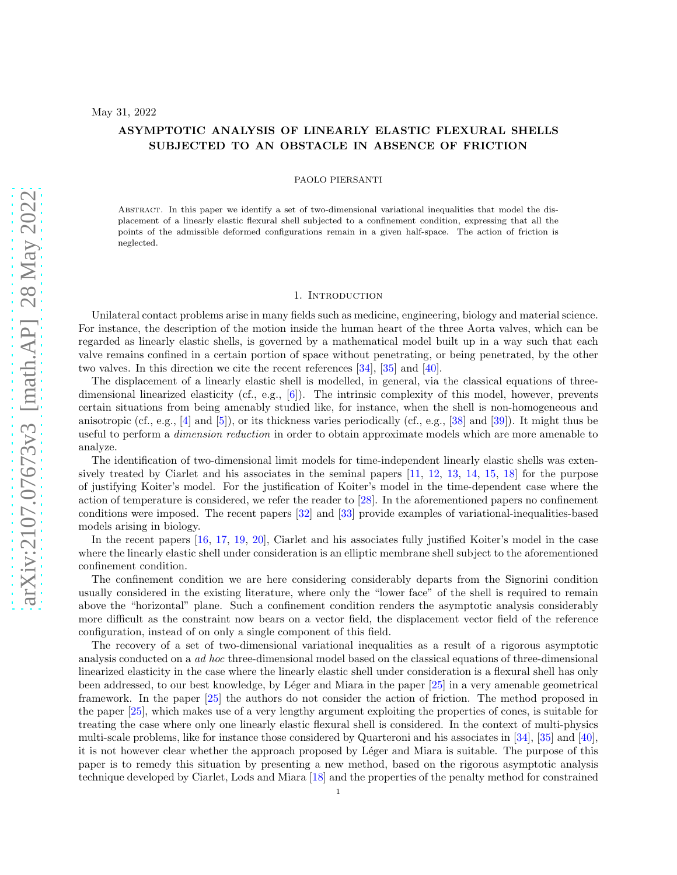# ASYMPTOTIC ANALYSIS OF LINEARLY ELASTIC FLEXURAL SHELLS SUBJECTED TO AN OBSTACLE IN ABSENCE OF FRICTION

### PAOLO PIERSANTI

Abstract. In this paper we identify a set of two-dimensional variational inequalities that model the displacement of a linearly elastic flexural shell subjected to a confinement condition, expressing that all the points of the admissible deformed configurations remain in a given half-space. The action of friction is neglected.

### 1. INTRODUCTION

Unilateral contact problems arise in many fields such as medicine, engineering, biology and material science. For instance, the description of the motion inside the human heart of the three Aorta valves, which can be regarded as linearly elastic shells, is governed by a mathematical model built up in a way such that each valve remains confined in a certain portion of space without penetrating, or being penetrated, by the other two valves. In this direction we cite the recent references [\[34\]](#page-24-0), [\[35\]](#page-24-1) and [\[40\]](#page-25-0).

The displacement of a linearly elastic shell is modelled, in general, via the classical equations of threedimensional linearized elasticity (cf., e.g., [\[6](#page-23-0)]). The intrinsic complexity of this model, however, prevents certain situations from being amenably studied like, for instance, when the shell is non-homogeneous and anisotropic (cf., e.g.,  $[4]$  and  $[5]$ ), or its thickness varies periodically (cf., e.g.,  $[38]$  and  $[39]$ ). It might thus be useful to perform a dimension reduction in order to obtain approximate models which are more amenable to analyze.

The identification of two-dimensional limit models for time-independent linearly elastic shells was exten-sively treated by Ciarlet and his associates in the seminal papers [\[11,](#page-23-3) [12,](#page-23-4) [13,](#page-23-5) [14,](#page-23-6) [15,](#page-23-7) [18\]](#page-24-3) for the purpose of justifying Koiter's model. For the justification of Koiter's model in the time-dependent case where the action of temperature is considered, we refer the reader to [\[28](#page-24-4)]. In the aforementioned papers no confinement conditions were imposed. The recent papers [\[32](#page-24-5)] and [\[33\]](#page-24-6) provide examples of variational-inequalities-based models arising in biology.

In the recent papers [\[16,](#page-24-7) [17](#page-24-8), [19,](#page-24-9) [20](#page-24-10)], Ciarlet and his associates fully justified Koiter's model in the case where the linearly elastic shell under consideration is an elliptic membrane shell subject to the aforementioned confinement condition.

The confinement condition we are here considering considerably departs from the Signorini condition usually considered in the existing literature, where only the "lower face" of the shell is required to remain above the "horizontal" plane. Such a confinement condition renders the asymptotic analysis considerably more difficult as the constraint now bears on a vector field, the displacement vector field of the reference configuration, instead of on only a single component of this field.

The recovery of a set of two-dimensional variational inequalities as a result of a rigorous asymptotic analysis conducted on a ad hoc three-dimensional model based on the classical equations of three-dimensional linearized elasticity in the case where the linearly elastic shell under consideration is a flexural shell has only been addressed, to our best knowledge, by L´eger and Miara in the paper [\[25\]](#page-24-11) in a very amenable geometrical framework. In the paper [\[25\]](#page-24-11) the authors do not consider the action of friction. The method proposed in the paper [\[25](#page-24-11)], which makes use of a very lengthy argument exploiting the properties of cones, is suitable for treating the case where only one linearly elastic flexural shell is considered. In the context of multi-physics multi-scale problems, like for instance those considered by Quarteroni and his associates in [\[34](#page-24-0)], [\[35](#page-24-1)] and [\[40\]](#page-25-0), it is not however clear whether the approach proposed by Léger and Miara is suitable. The purpose of this paper is to remedy this situation by presenting a new method, based on the rigorous asymptotic analysis technique developed by Ciarlet, Lods and Miara [\[18\]](#page-24-3) and the properties of the penalty method for constrained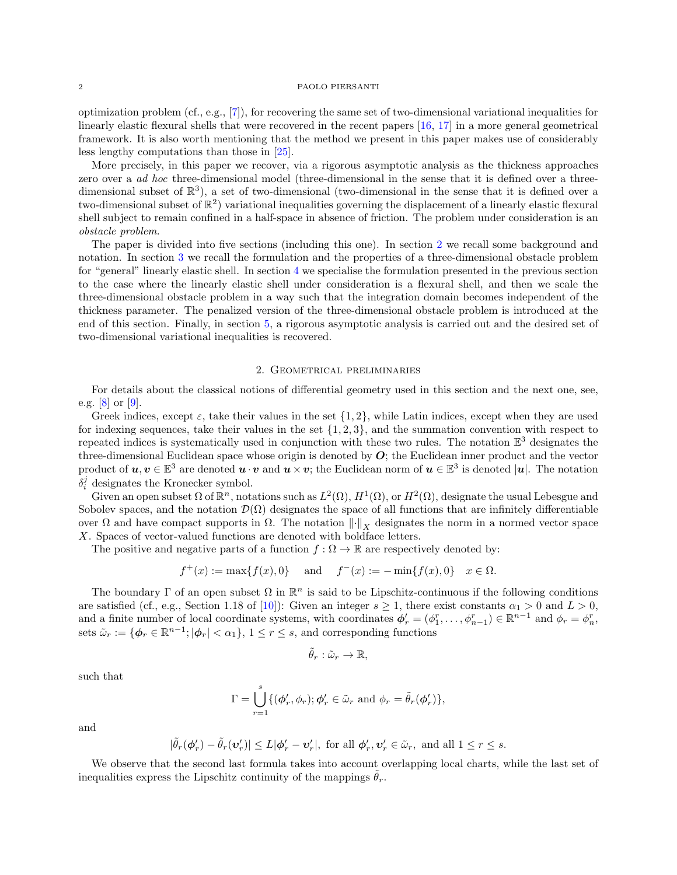optimization problem  $(cf., e.g., [7])$  $(cf., e.g., [7])$  $(cf., e.g., [7])$ , for recovering the same set of two-dimensional variational inequalities for linearly elastic flexural shells that were recovered in the recent papers [\[16](#page-24-7), [17](#page-24-8)] in a more general geometrical framework. It is also worth mentioning that the method we present in this paper makes use of considerably less lengthy computations than those in [\[25\]](#page-24-11).

More precisely, in this paper we recover, via a rigorous asymptotic analysis as the thickness approaches zero over a ad hoc three-dimensional model (three-dimensional in the sense that it is defined over a threedimensional subset of  $\mathbb{R}^3$ ), a set of two-dimensional (two-dimensional in the sense that it is defined over a two-dimensional subset of  $\mathbb{R}^2$ ) variational inequalities governing the displacement of a linearly elastic flexural shell subject to remain confined in a half-space in absence of friction. The problem under consideration is an obstacle problem.

The paper is divided into five sections (including this one). In section [2](#page-1-0) we recall some background and notation. In section [3](#page-3-0) we recall the formulation and the properties of a three-dimensional obstacle problem for "general" linearly elastic shell. In section [4](#page-9-0) we specialise the formulation presented in the previous section to the case where the linearly elastic shell under consideration is a flexural shell, and then we scale the three-dimensional obstacle problem in a way such that the integration domain becomes independent of the thickness parameter. The penalized version of the three-dimensional obstacle problem is introduced at the end of this section. Finally, in section [5,](#page-12-0) a rigorous asymptotic analysis is carried out and the desired set of two-dimensional variational inequalities is recovered.

# 2. Geometrical preliminaries

<span id="page-1-0"></span>For details about the classical notions of differential geometry used in this section and the next one, see, e.g. [\[8\]](#page-23-9) or [\[9\]](#page-23-10).

Greek indices, except  $\varepsilon$ , take their values in the set  $\{1, 2\}$ , while Latin indices, except when they are used for indexing sequences, take their values in the set  $\{1, 2, 3\}$ , and the summation convention with respect to repeated indices is systematically used in conjunction with these two rules. The notation  $\mathbb{E}^3$  designates the three-dimensional Euclidean space whose origin is denoted by  $O$ ; the Euclidean inner product and the vector product of  $u, v \in \mathbb{E}^3$  are denoted  $u \cdot v$  and  $u \times v$ ; the Euclidean norm of  $u \in \mathbb{E}^3$  is denoted  $|u|$ . The notation  $\delta_i^j$  designates the Kronecker symbol.

Given an open subset  $\Omega$  of  $\mathbb{R}^n$ , notations such as  $L^2(\Omega)$ ,  $H^1(\Omega)$ , or  $H^2(\Omega)$ , designate the usual Lebesgue and Sobolev spaces, and the notation  $\mathcal{D}(\Omega)$  designates the space of all functions that are infinitely differentiable over Ω and have compact supports in  $Ω$ . The notation  $\|\cdot\|_Y$  designates the norm in a normed vector space X. Spaces of vector-valued functions are denoted with boldface letters.

The positive and negative parts of a function  $f : \Omega \to \mathbb{R}$  are respectively denoted by:

$$
f^+(x) := \max\{f(x), 0\}
$$
 and  $f^-(x) := -\min\{f(x), 0\}$   $x \in \Omega$ .

The boundary  $\Gamma$  of an open subset  $\Omega$  in  $\mathbb{R}^n$  is said to be Lipschitz-continuous if the following conditions are satisfied (cf., e.g., Section 1.18 of [\[10\]](#page-23-11)): Given an integer  $s \ge 1$ , there exist constants  $\alpha_1 > 0$  and  $L > 0$ , and a finite number of local coordinate systems, with coordinates  $\phi'_r = (\phi_1^r, \dots, \phi_{n-1}^r) \in \mathbb{R}^{n-1}$  and  $\phi_r = \phi_n^r$ , sets  $\tilde{\omega}_r := \{ \phi_r \in \mathbb{R}^{n-1}; |\phi_r| < \alpha_1 \}, 1 \le r \le s$ , and corresponding functions

$$
\tilde{\theta}_r:\tilde{\omega}_r\to\mathbb{R},
$$

such that

$$
\Gamma = \bigcup_{r=1}^{s} \{ (\phi'_r, \phi_r) ; \phi'_r \in \tilde{\omega}_r \text{ and } \phi_r = \tilde{\theta}_r(\phi'_r) \},
$$

and

$$
|\tilde{\theta}_r(\phi'_r)-\tilde{\theta}_r(\boldsymbol{v}'_r)|\leq L|\phi'_r-\boldsymbol{v}'_r|,\,\,\text{for all}\,\,\phi'_r,\boldsymbol{v}'_r\in\tilde{\omega}_r,\,\,\text{and all}\,\,1\leq r\leq s.
$$

We observe that the second last formula takes into account overlapping local charts, while the last set of inequalities express the Lipschitz continuity of the mappings  $\theta_r$ .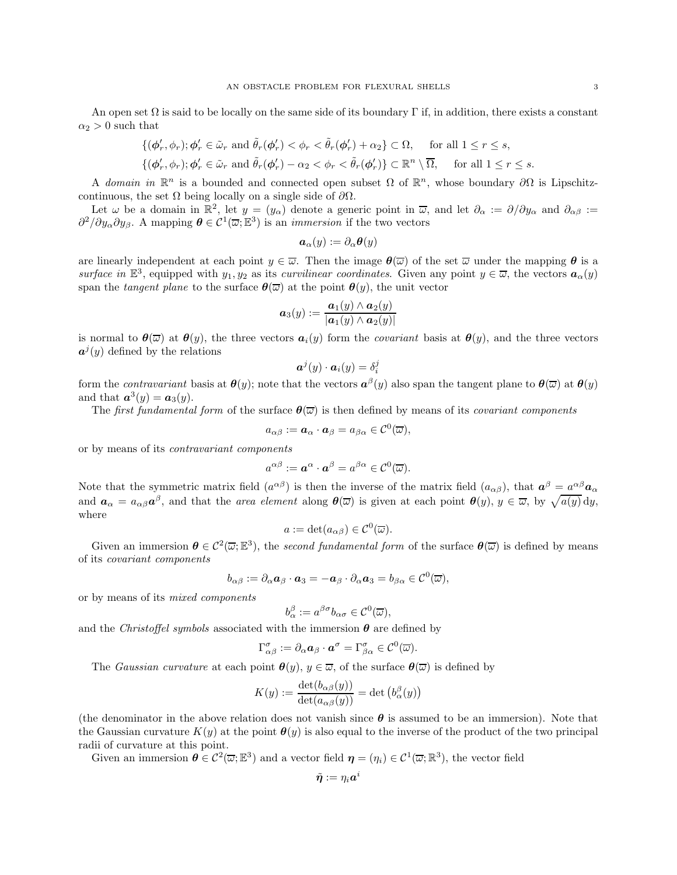An open set  $\Omega$  is said to be locally on the same side of its boundary Γ if, in addition, there exists a constant  $\alpha_2 > 0$  such that

$$
\{(\phi'_r, \phi_r); \phi'_r \in \tilde{\omega}_r \text{ and } \tilde{\theta}_r(\phi'_r) < \phi_r < \tilde{\theta}_r(\phi'_r) + \alpha_2\} \subset \Omega, \quad \text{ for all } 1 \le r \le s,
$$
\n
$$
\{(\phi'_r, \phi_r); \phi'_r \in \tilde{\omega}_r \text{ and } \tilde{\theta}_r(\phi'_r) - \alpha_2 < \phi_r < \tilde{\theta}_r(\phi'_r)\} \subset \mathbb{R}^n \setminus \overline{\Omega}, \quad \text{ for all } 1 \le r \le s.
$$

A domain in  $\mathbb{R}^n$  is a bounded and connected open subset  $\Omega$  of  $\mathbb{R}^n$ , whose boundary  $\partial\Omega$  is Lipschitzcontinuous, the set  $\Omega$  being locally on a single side of  $\partial\Omega$ .

Let  $\omega$  be a domain in  $\mathbb{R}^2$ , let  $y = (y_\alpha)$  denote a generic point in  $\overline{\omega}$ , and let  $\partial_\alpha := \partial/\partial y_\alpha$  and  $\partial_{\alpha\beta} :=$  $\partial^2/\partial y_\alpha \partial y_\beta$ . A mapping  $\boldsymbol{\theta} \in C^1(\overline{\omega}; \mathbb{E}^3)$  is an *immersion* if the two vectors

$$
\boldsymbol{a}_\alpha(y):=\partial_\alpha \boldsymbol{\theta}(y)
$$

are linearly independent at each point  $y \in \overline{\omega}$ . Then the image  $\theta(\overline{\omega})$  of the set  $\overline{\omega}$  under the mapping  $\theta$  is a surface in  $\mathbb{E}^3$ , equipped with  $y_1, y_2$  as its *curvilinear coordinates*. Given any point  $y \in \overline{\omega}$ , the vectors  $a_{\alpha}(y)$ span the tangent plane to the surface  $\theta(\overline{\omega})$  at the point  $\theta(y)$ , the unit vector

$$
\boldsymbol{a}_3(y) := \frac{\boldsymbol{a}_1(y) \wedge \boldsymbol{a}_2(y)}{|\boldsymbol{a}_1(y) \wedge \boldsymbol{a}_2(y)|}
$$

is normal to  $\theta(\overline{\omega})$  at  $\theta(y)$ , the three vectors  $a_i(y)$  form the *covariant* basis at  $\theta(y)$ , and the three vectors  $a^j(y)$  defined by the relations

$$
\boldsymbol{a}^j(y)\cdot \boldsymbol{a}_i(y)=\delta_i^j
$$

form the *contravariant* basis at  $\theta(y)$ ; note that the vectors  $a^{\beta}(y)$  also span the tangent plane to  $\theta(\overline{\omega})$  at  $\theta(y)$ and that  $a^3(y) = a_3(y)$ .

The first fundamental form of the surface  $\theta(\overline{\omega})$  is then defined by means of its covariant components

$$
a_{\alpha\beta}:=\boldsymbol{a}_\alpha\cdot \boldsymbol{a}_\beta=a_{\beta\alpha}\in\mathcal{C}^0(\overline{\omega}),
$$

or by means of its contravariant components

$$
a^{\alpha\beta} := \boldsymbol{a}^{\alpha} \cdot \boldsymbol{a}^{\beta} = a^{\beta\alpha} \in \mathcal{C}^0(\overline{\omega}).
$$

Note that the symmetric matrix field  $(a^{\alpha\beta})$  is then the inverse of the matrix field  $(a_{\alpha\beta})$ , that  $a^{\beta} = a^{\alpha\beta} a_{\alpha}$ and  $a_{\alpha} = a_{\alpha\beta} a^{\beta}$ , and that the *area element* along  $\theta(\overline{\omega})$  is given at each point  $\theta(y)$ ,  $y \in \overline{\omega}$ , by  $\sqrt{a(y)} dy$ , where

$$
a := \det(a_{\alpha\beta}) \in \mathcal{C}^0(\overline{\omega}).
$$

Given an immersion  $\theta \in C^2(\overline{\omega}; \mathbb{E}^3)$ , the second fundamental form of the surface  $\theta(\overline{\omega})$  is defined by means of its covariant components

$$
b_{\alpha\beta}:=\partial_\alpha \bm{a}_\beta\cdot \bm{a}_3=-\bm{a}_\beta\cdot \partial_\alpha \bm{a}_3=b_{\beta\alpha}\in \mathcal{C}^0(\overline{\omega}),
$$

or by means of its mixed components

$$
b_{\alpha}^{\beta} := a^{\beta \sigma} b_{\alpha \sigma} \in \mathcal{C}^0(\overline{\omega}),
$$

and the *Christoffel symbols* associated with the immersion  $\theta$  are defined by

$$
\Gamma^{\sigma}_{\alpha\beta} := \partial_{\alpha} \mathbf{a}_{\beta} \cdot \mathbf{a}^{\sigma} = \Gamma^{\sigma}_{\beta\alpha} \in \mathcal{C}^0(\overline{\omega}).
$$

The Gaussian curvature at each point  $\theta(y)$ ,  $y \in \overline{\omega}$ , of the surface  $\theta(\overline{\omega})$  is defined by

$$
K(y) := \frac{\det(b_{\alpha\beta}(y))}{\det(a_{\alpha\beta}(y))} = \det(b_{\alpha}^{\beta}(y))
$$

(the denominator in the above relation does not vanish since  $\theta$  is assumed to be an immersion). Note that the Gaussian curvature  $K(y)$  at the point  $\theta(y)$  is also equal to the inverse of the product of the two principal radii of curvature at this point.

Given an immersion  $\boldsymbol{\theta} \in C^2(\overline{\omega}; \mathbb{E}^3)$  and a vector field  $\boldsymbol{\eta} = (\eta_i) \in C^1(\overline{\omega}; \mathbb{R}^3)$ , the vector field

$$
\tilde{\boldsymbol{\eta}} := \eta_i {\boldsymbol{a}}^i
$$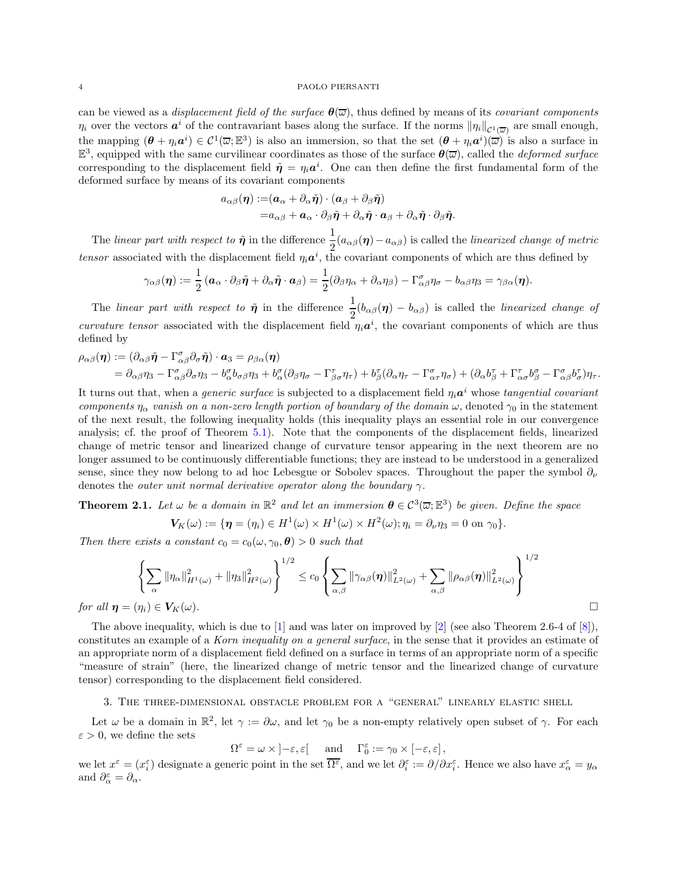can be viewed as a *displacement field of the surface*  $\theta(\overline{\omega})$ , thus defined by means of its *covariant components*  $\eta_i$  over the vectors  $a^i$  of the contravariant bases along the surface. If the norms  $\|\eta_i\|_{\mathcal{C}^1(\overline{\omega})}$  are small enough, the mapping  $(\theta + \eta_i \mathbf{a}^i) \in C^1(\overline{\omega}; \mathbb{R}^3)$  is also an immersion, so that the set  $(\theta + \eta_i \mathbf{a}^i)(\overline{\omega})$  is also a surface in  $\mathbb{E}^3$ , equipped with the same curvilinear coordinates as those of the surface  $\theta(\overline{\omega})$ , called the *deformed surface* corresponding to the displacement field  $\tilde{\eta} = \eta_i a^i$ . One can then define the first fundamental form of the deformed surface by means of its covariant components

$$
\begin{aligned} a_{\alpha\beta}(\boldsymbol\eta) := & (\boldsymbol a_\alpha + \partial_\alpha \tilde{\boldsymbol\eta}) \cdot (\boldsymbol a_\beta + \partial_\beta \tilde{\boldsymbol\eta}) \\ = & a_{\alpha\beta} + \boldsymbol a_\alpha \cdot \partial_\beta \tilde{\boldsymbol\eta} + \partial_\alpha \tilde{\boldsymbol\eta} \cdot \boldsymbol a_\beta + \partial_\alpha \tilde{\boldsymbol\eta} \cdot \partial_\beta \tilde{\boldsymbol\eta}. \end{aligned}
$$

The linear part with respect to  $\tilde{\boldsymbol{\eta}}$  in the difference  $\frac{1}{2}(a_{\alpha\beta}(\boldsymbol{\eta})-a_{\alpha\beta})$  is called the linearized change of metric tensor associated with the displacement field  $\eta_i \mathbf{a}^i$ , the covariant components of which are thus defined by

$$
\gamma_{\alpha\beta}(\boldsymbol{\eta}):=\frac{1}{2}\left(\boldsymbol{a}_\alpha\cdot\partial_\beta\tilde{\boldsymbol{\eta}}+\partial_\alpha\tilde{\boldsymbol{\eta}}\cdot\boldsymbol{a}_\beta\right)=\frac{1}{2}(\partial_\beta\eta_\alpha+\partial_\alpha\eta_\beta)-\Gamma_{\alpha\beta}^\sigma\eta_\sigma-b_{\alpha\beta}\eta_3=\gamma_{\beta\alpha}(\boldsymbol{\eta}).
$$

The linear part with respect to  $\tilde{\boldsymbol{\eta}}$  in the difference  $\frac{1}{2}(b_{\alpha\beta}(\boldsymbol{\eta}) - b_{\alpha\beta})$  is called the linearized change of curvature tensor associated with the displacement field  $\eta_i \mathbf{a}^i$ , the covariant components of which are thus defined by

$$
\rho_{\alpha\beta}(\boldsymbol{\eta}) := (\partial_{\alpha\beta}\tilde{\boldsymbol{\eta}} - \Gamma^{\sigma}_{\alpha\beta}\partial_{\sigma}\tilde{\boldsymbol{\eta}}) \cdot \boldsymbol{a}_{3} = \rho_{\beta\alpha}(\boldsymbol{\eta}) \n= \partial_{\alpha\beta}\eta_{3} - \Gamma^{\sigma}_{\alpha\beta}\partial_{\sigma}\eta_{3} - b^{\sigma}_{\alpha}b_{\sigma\beta}\eta_{3} + b^{\sigma}_{\alpha}(\partial_{\beta}\eta_{\sigma} - \Gamma^{\tau}_{\beta\sigma}\eta_{\tau}) + b^{\tau}_{\beta}(\partial_{\alpha}\eta_{\tau} - \Gamma^{\sigma}_{\alpha\tau}\eta_{\sigma}) + (\partial_{\alpha}b^{\tau}_{\beta} + \Gamma^{\tau}_{\alpha\sigma}b^{\sigma}_{\beta} - \Gamma^{\sigma}_{\alpha\beta}b^{\tau}_{\sigma})\eta_{\tau}.
$$

It turns out that, when a *generic surface* is subjected to a displacement field  $\eta_i a^i$  whose tangential covariant components  $\eta_{\alpha}$  vanish on a non-zero length portion of boundary of the domain  $\omega$ , denoted  $\gamma_0$  in the statement of the next result, the following inequality holds (this inequality plays an essential role in our convergence analysis; cf. the proof of Theorem [5.1\)](#page-13-0). Note that the components of the displacement fields, linearized change of metric tensor and linearized change of curvature tensor appearing in the next theorem are no longer assumed to be continuously differentiable functions; they are instead to be understood in a generalized sense, since they now belong to ad hoc Lebesgue or Sobolev spaces. Throughout the paper the symbol  $\partial_{\nu}$ denotes the *outer unit normal derivative operator along the boundary*  $\gamma$ *.* 

**Theorem 2.1.** Let  $\omega$  be a domain in  $\mathbb{R}^2$  and let an immersion  $\theta \in C^3(\overline{\omega}; \mathbb{E}^3)$  be given. Define the space

$$
V_K(\omega) := \{ \eta = (\eta_i) \in H^1(\omega) \times H^1(\omega) \times H^2(\omega); \eta_i = \partial_\nu \eta_3 = 0 \text{ on } \gamma_0 \}.
$$

Then there exists a constant  $c_0 = c_0(\omega, \gamma_0, \theta) > 0$  such that

$$
\left\{\sum_{\alpha} \|\eta_{\alpha}\|_{H^1(\omega)}^2 + \|\eta_3\|_{H^2(\omega)}^2\right\}^{1/2} \le c_0 \left\{\sum_{\alpha,\beta} \|\gamma_{\alpha\beta}(\eta)\|_{L^2(\omega)}^2 + \sum_{\alpha,\beta} \|\rho_{\alpha\beta}(\eta)\|_{L^2(\omega)}^2\right\}^{1/2}
$$
  
for all  $\eta = (\eta_i) \in V_K(\omega)$ .

The above inequality, which is due to [\[1\]](#page-23-12) and was later on improved by [\[2](#page-23-13)] (see also Theorem 2.6-4 of [\[8\]](#page-23-9)), constitutes an example of a Korn inequality on a general surface, in the sense that it provides an estimate of an appropriate norm of a displacement field defined on a surface in terms of an appropriate norm of a specific "measure of strain" (here, the linearized change of metric tensor and the linearized change of curvature tensor) corresponding to the displacement field considered.

### <span id="page-3-0"></span>3. The three-dimensional obstacle problem for a "general" linearly elastic shell

Let  $\omega$  be a domain in  $\mathbb{R}^2$ , let  $\gamma := \partial \omega$ , and let  $\gamma_0$  be a non-empty relatively open subset of  $\gamma$ . For each  $\varepsilon > 0$ , we define the sets

$$
\Omega^\varepsilon = \omega \times \left] -\varepsilon, \varepsilon \right[ \quad \text{ and } \quad \Gamma^\varepsilon_0 := \gamma_0 \times \left[ -\varepsilon, \varepsilon \right],
$$

we let  $x^{\varepsilon} = (x^{\varepsilon}_i)$  designate a generic point in the set  $\overline{\Omega^{\varepsilon}}$ , and we let  $\partial_i^{\varepsilon} := \partial/\partial x_i^{\varepsilon}$ . Hence we also have  $x^{\varepsilon} = y_{\alpha}$ and  $\partial_{\alpha}^{\varepsilon} = \partial_{\alpha}$ .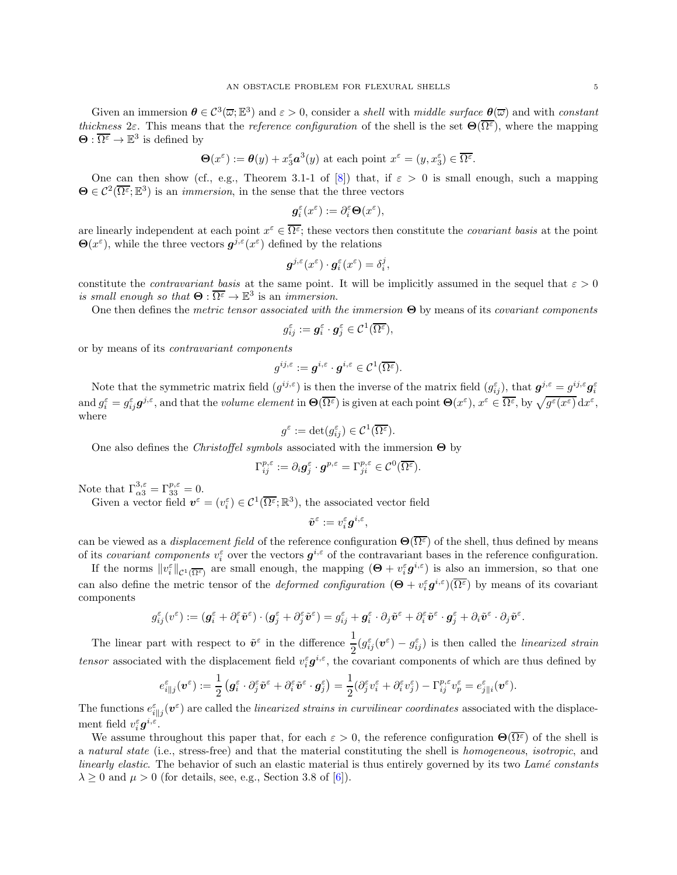Given an immersion  $\theta \in C^3(\overline{\omega}; \mathbb{E}^3)$  and  $\varepsilon > 0$ , consider a *shell* with middle surface  $\underline{\theta}(\overline{\omega})$  and with constant thickness 2ε. This means that the reference configuration of the shell is the set  $\Theta(\overline{\Omega^{\varepsilon}})$ , where the mapping  $\Theta: \overline{\Omega^{\varepsilon}} \to \mathbb{E}^3$  is defined by

$$
\Theta(x^{\varepsilon}) := \theta(y) + x_3^{\varepsilon} a^3(y)
$$
 at each point  $x^{\varepsilon} = (y, x_3^{\varepsilon}) \in \overline{\Omega^{\varepsilon}}$ .

One can then show (cf., e.g., Theorem 3.1-1 of [\[8\]](#page-23-9)) that, if  $\varepsilon > 0$  is small enough, such a mapping  $\Theta \in \mathcal{C}^2(\overline{\Omega^{\varepsilon}};\mathbb{E}^3)$  is an *immersion*, in the sense that the three vectors

$$
\boldsymbol{g}_i^\varepsilon(x^\varepsilon):=\partial_i^\varepsilon \boldsymbol{\Theta}(x^\varepsilon),
$$

are linearly independent at each point  $x^{\varepsilon} \in \overline{\Omega^{\varepsilon}}$ ; these vectors then constitute the *covariant basis* at the point  $\Theta(x^{\varepsilon})$ , while the three vectors  $g^{j,\varepsilon}(x^{\varepsilon})$  defined by the relations

$$
\boldsymbol{g}^{j,\varepsilon}(x^{\varepsilon})\cdot\boldsymbol{g}_{i}^{\varepsilon}(x^{\varepsilon})=\delta_{i}^{j},
$$

constitute the *contravariant basis* at the same point. It will be implicitly assumed in the sequel that  $\varepsilon > 0$ is small enough so that  $\Theta : \overline{\Omega^{\varepsilon}} \to \mathbb{E}^3$  is an *immersion*.

One then defines the metric tensor associated with the immersion  $\Theta$  by means of its covariant components

$$
g_{ij}^{\varepsilon} := \mathbf{g}_i^{\varepsilon} \cdot \mathbf{g}_j^{\varepsilon} \in \mathcal{C}^1(\overline{\Omega^{\varepsilon}}),
$$

or by means of its contravariant components

$$
g^{ij,\varepsilon}:=\boldsymbol{g}^{i,\varepsilon}\cdot \boldsymbol{g}^{i,\varepsilon}\in \mathcal{C}^1(\overline{\Omega^{\varepsilon}}).
$$

Note that the symmetric matrix field  $(g^{ij,\varepsilon})$  is then the inverse of the matrix field  $(g_{ij}^{\varepsilon})$ , that  $g^{j,\varepsilon} = g^{ij,\varepsilon} g_i^{\varepsilon}$  $\text{and } g_i^{\varepsilon} = g_{ij}^{\varepsilon} g^{j,\varepsilon}, \text{and that the volume element in } \Theta(\overline{\Omega^{\varepsilon}}) \text{ is given at each point } \Theta(x^{\varepsilon}), x^{\varepsilon} \in \overline{\Omega^{\varepsilon}}, \text{ by } \sqrt{g^{\varepsilon}(x^{\varepsilon})} \, \text{d}x^{\varepsilon},$ where

$$
g^{\varepsilon} := \det(g_{ij}^{\varepsilon}) \in \mathcal{C}^{1}(\overline{\Omega^{\varepsilon}}).
$$

One also defines the *Christoffel symbols* associated with the immersion  $\Theta$  by

$$
\Gamma_{ij}^{p,\varepsilon} := \partial_i \mathbf{g}_j^{\varepsilon} \cdot \mathbf{g}^{p,\varepsilon} = \Gamma_{ji}^{p,\varepsilon} \in \mathcal{C}^0(\overline{\Omega^{\varepsilon}}).
$$

Note that  $\Gamma_{\alpha 3}^{3,\varepsilon} = \Gamma_{33}^{p,\varepsilon} = 0.$ 

Given a vector field  $\mathbf{v}^{\varepsilon} = (v_i^{\varepsilon}) \in \mathcal{C}^1(\overline{\Omega^{\varepsilon}}; \mathbb{R}^3)$ , the associated vector field

$$
\tilde{\boldsymbol{v}}^{\varepsilon}:=v_{i}^{\varepsilon}\boldsymbol{g}^{i,\varepsilon},
$$

can be viewed as a *displacement field* of the reference configuration  $\Theta(\overline{\Omega^{\varepsilon}})$  of the shell, thus defined by means of its covariant components  $v_i^{\varepsilon}$  over the vectors  $g^{i,\varepsilon}$  of the contravariant bases in the reference configuration.

If the norms  $||v_i^{\varepsilon}||_{\mathcal{C}^1(\overline{\Omega^{\varepsilon}})}$  are small enough, the mapping  $(\Theta + v_i^{\varepsilon} \boldsymbol{g}^{i,\varepsilon})$  is also an immersion, so that one can also define the metric tensor of the *deformed configuration*  $(\Theta + v_i^{\varepsilon} g^{i,\varepsilon})(\overline{\Omega^{\varepsilon}})$  by means of its covariant components

$$
g_{ij}^{\varepsilon}(v^{\varepsilon}):=(\boldsymbol{g}_{i}^{\varepsilon}+\partial_{i}^{\varepsilon}\tilde{\boldsymbol{v}}^{\varepsilon})\cdot(\boldsymbol{g}_{j}^{\varepsilon}+\partial_{j}^{\varepsilon}\tilde{\boldsymbol{v}}^{\varepsilon})=g_{ij}^{\varepsilon}+\boldsymbol{g}_{i}^{\varepsilon}\cdot\partial_{j}\tilde{\boldsymbol{v}}^{\varepsilon}+\partial_{i}^{\varepsilon}\tilde{\boldsymbol{v}}^{\varepsilon}\cdot\boldsymbol{g}_{j}^{\varepsilon}+\partial_{i}\tilde{\boldsymbol{v}}^{\varepsilon}\cdot\partial_{j}\tilde{\boldsymbol{v}}^{\varepsilon}.
$$

The linear part with respect to  $\tilde{v}^{\varepsilon}$  in the difference  $\frac{1}{2}(g_{ij}^{\varepsilon}(\boldsymbol{v}^{\varepsilon}) - g_{ij}^{\varepsilon})$  is then called the *linearized strain* tensor associated with the displacement field  $v_i^{\varepsilon} g^{i,\varepsilon}$ , the covariant components of which are thus defined by

$$
e_{i||j}^{\varepsilon}(\boldsymbol{v}^{\varepsilon}) := \frac{1}{2} \left( \boldsymbol{g}_i^{\varepsilon} \cdot \partial_j^{\varepsilon} \tilde{\boldsymbol{v}}^{\varepsilon} + \partial_i^{\varepsilon} \tilde{\boldsymbol{v}}^{\varepsilon} \cdot \boldsymbol{g}_j^{\varepsilon} \right) = \frac{1}{2} (\partial_j^{\varepsilon} v_i^{\varepsilon} + \partial_i^{\varepsilon} v_j^{\varepsilon}) - \Gamma_{ij}^{p,\varepsilon} v_p^{\varepsilon} = e_{j||i}^{\varepsilon}(\boldsymbol{v}^{\varepsilon}).
$$

The functions  $e_{i||j}^{\varepsilon}(\mathbf{v}^{\varepsilon})$  are called the *linearized strains in curvilinear coordinates* associated with the displacement field  $v_i^{\varepsilon} \boldsymbol{g}^{i,\varepsilon}$ .

We assume throughout this paper that, for each  $\varepsilon > 0$ , the reference configuration  $\Theta(\overline{\Omega^{\varepsilon}})$  of the shell is a natural state (i.e., stress-free) and that the material constituting the shell is homogeneous, isotropic, and linearly elastic. The behavior of such an elastic material is thus entirely governed by its two Lamé constants  $\lambda \geq 0$  and  $\mu > 0$  (for details, see, e.g., Section 3.8 of [\[6\]](#page-23-0)).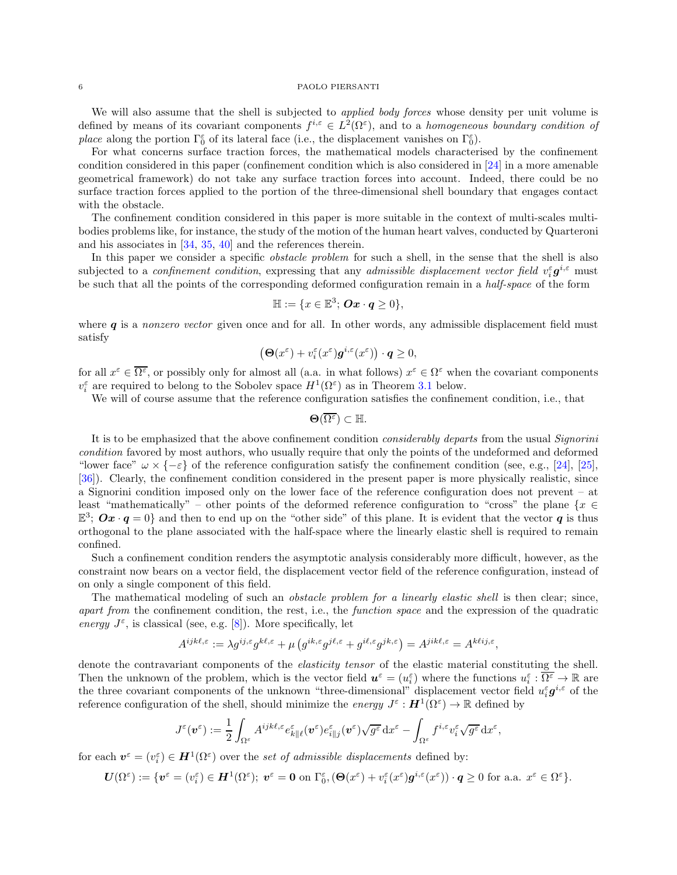We will also assume that the shell is subjected to *applied body forces* whose density per unit volume is defined by means of its covariant components  $f^{i,\varepsilon} \in L^2(\Omega^{\varepsilon})$ , and to a homogeneous boundary condition of *place* along the portion  $\Gamma_0^{\varepsilon}$  of its lateral face (i.e., the displacement vanishes on  $\Gamma_0^{\varepsilon}$ ).

For what concerns surface traction forces, the mathematical models characterised by the confinement condition considered in this paper (confinement condition which is also considered in [\[24](#page-24-12)] in a more amenable geometrical framework) do not take any surface traction forces into account. Indeed, there could be no surface traction forces applied to the portion of the three-dimensional shell boundary that engages contact with the obstacle.

The confinement condition considered in this paper is more suitable in the context of multi-scales multibodies problems like, for instance, the study of the motion of the human heart valves, conducted by Quarteroni and his associates in [\[34,](#page-24-0) [35](#page-24-1), [40](#page-25-0)] and the references therein.

In this paper we consider a specific *obstacle problem* for such a shell, in the sense that the shell is also subjected to a *confinement condition*, expressing that any *admissible displacement vector field*  $v_i^{\varepsilon} g^{i,\varepsilon}$  must be such that all the points of the corresponding deformed configuration remain in a half-space of the form

$$
\mathbb{H}:=\{x\in\mathbb{E}^3;\,\mathbf{O} \mathbf{x}\cdot\mathbf{q}\geq 0\},\
$$

where  $q$  is a nonzero vector given once and for all. In other words, any admissible displacement field must satisfy

$$
\left(\mathbf{\Theta}(x^{\varepsilon}) + v_i^{\varepsilon}(x^{\varepsilon})\mathbf{g}^{i,\varepsilon}(x^{\varepsilon})\right) \cdot \mathbf{q} \ge 0,
$$

for all  $x^{\varepsilon} \in \overline{\Omega^{\varepsilon}}$ , or possibly only for almost all (a.a. in what follows)  $x^{\varepsilon} \in \Omega^{\varepsilon}$  when the covariant components  $v_i^{\varepsilon}$  are required to belong to the Sobolev space  $H^1(\Omega^{\varepsilon})$  as in Theorem [3.1](#page-6-0) below.

We will of course assume that the reference configuration satisfies the confinement condition, i.e., that

 $\Theta(\overline{\Omega^{\varepsilon}}) \subset \mathbb{H}.$ 

It is to be emphasized that the above confinement condition *considerably departs* from the usual *Signorini* condition favored by most authors, who usually require that only the points of the undeformed and deformed "lower face"  $\omega \times \{-\varepsilon\}$  of the reference configuration satisfy the confinement condition (see, e.g., [\[24](#page-24-12)], [\[25\]](#page-24-11), [\[36\]](#page-24-13)). Clearly, the confinement condition considered in the present paper is more physically realistic, since a Signorini condition imposed only on the lower face of the reference configuration does not prevent – at least "mathematically" – other points of the deformed reference configuration to "cross" the plane  $\{x \in$  $\mathbb{E}^3$ ;  $Ox \cdot q = 0$  and then to end up on the "other side" of this plane. It is evident that the vector q is thus orthogonal to the plane associated with the half-space where the linearly elastic shell is required to remain confined.

Such a confinement condition renders the asymptotic analysis considerably more difficult, however, as the constraint now bears on a vector field, the displacement vector field of the reference configuration, instead of on only a single component of this field.

The mathematical modeling of such an *obstacle problem for a linearly elastic shell* is then clear; since, apart from the confinement condition, the rest, i.e., the function space and the expression of the quadratic energy  $J^{\varepsilon}$ , is classical (see, e.g. [\[8\]](#page-23-9)). More specifically, let

$$
A^{ijk\ell,\varepsilon} := \lambda g^{ij,\varepsilon} g^{k\ell,\varepsilon} + \mu \left( g^{ik,\varepsilon} g^{j\ell,\varepsilon} + g^{i\ell,\varepsilon} g^{jk,\varepsilon} \right) = A^{jik\ell,\varepsilon} = A^{k\ell ij,\varepsilon},
$$

denote the contravariant components of the *elasticity tensor* of the elastic material constituting the shell. Then the unknown of the problem, which is the vector field  $u^{\varepsilon} = (u^{\varepsilon}_{i})$  where the functions  $u^{\varepsilon}_{i} : \overline{\Omega^{\varepsilon}} \to \mathbb{R}$  are the three covariant components of the unknown "three-dimensional" displacement vector field  $u_i^{\varepsilon} g^{i,\varepsilon}$  of the reference configuration of the shell, should minimize the *energy*  $J^{\varepsilon}$  :  $H^1(\Omega^{\varepsilon}) \to \mathbb{R}$  defined by

$$
J^\varepsilon(\pmb{v}^\varepsilon):=\frac{1}{2}\int_{\Omega^\varepsilon}A^{ijk\ell,\varepsilon}e^\varepsilon_{k\| \ell}(\pmb{v}^\varepsilon)e^\varepsilon_{i\| j}(\pmb{v}^\varepsilon)\sqrt{g^\varepsilon}\,\mathrm{d} x^\varepsilon-\int_{\Omega^\varepsilon}f^{i,\varepsilon}v^\varepsilon_i\sqrt{g^\varepsilon}\,\mathrm{d} x^\varepsilon,
$$

for each  $\mathbf{v}^{\varepsilon} = (v_i^{\varepsilon}) \in \mathbf{H}^1(\Omega^{\varepsilon})$  over the set of admissible displacements defined by:

$$
\boldsymbol{U}(\Omega^{\varepsilon}) := \{ \boldsymbol{v}^{\varepsilon} = (v_i^{\varepsilon}) \in \boldsymbol{H}^1(\Omega^{\varepsilon}); \; \boldsymbol{v}^{\varepsilon} = \boldsymbol{0} \text{ on } \Gamma_0^{\varepsilon}, (\boldsymbol{\Theta}(x^{\varepsilon}) + v_i^{\varepsilon}(x^{\varepsilon})\boldsymbol{g}^{i,\varepsilon}(x^{\varepsilon})) \cdot \boldsymbol{q} \ge 0 \text{ for a.a. } x^{\varepsilon} \in \Omega^{\varepsilon} \}.
$$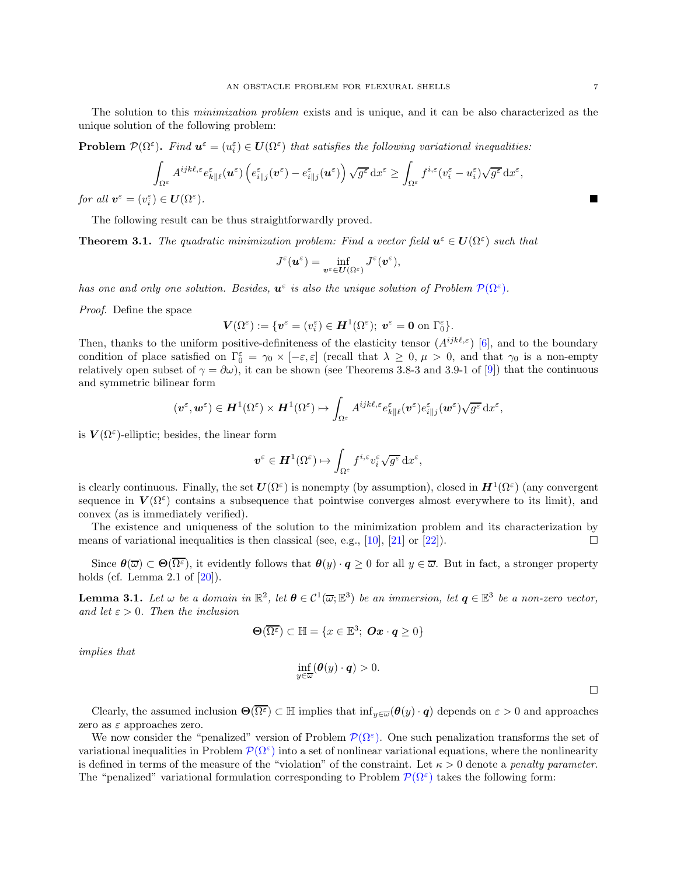The solution to this minimization problem exists and is unique, and it can be also characterized as the unique solution of the following problem:

<span id="page-6-1"></span>**Problem**  $\mathcal{P}(\Omega^{\varepsilon})$ . Find  $\mathbf{u}^{\varepsilon} = (u_i^{\varepsilon}) \in \mathbf{U}(\Omega^{\varepsilon})$  that satisfies the following variational inequalities:

$$
\int_{\Omega^\varepsilon} A^{ijk\ell,\varepsilon} e^\varepsilon_{k\| \ell} (\boldsymbol{u}^\varepsilon) \left( e^\varepsilon_{i\| j} (\boldsymbol{v}^\varepsilon) - e^\varepsilon_{i\| j} (\boldsymbol{u}^\varepsilon) \right) \sqrt{g^\varepsilon} \, \mathrm{d} x^\varepsilon \ge \int_{\Omega^\varepsilon} f^{i,\varepsilon} (v_i^\varepsilon - u_i^\varepsilon) \sqrt{g^\varepsilon} \, \mathrm{d} x^\varepsilon,
$$

for all  $\mathbf{v}^{\varepsilon} = (v_i^{\varepsilon}) \in \mathbf{U}(\Omega^{\varepsilon})$ ).

The following result can be thus straightforwardly proved.

<span id="page-6-0"></span>**Theorem 3.1.** The quadratic minimization problem: Find a vector field  $u^{\varepsilon} \in U(\Omega^{\varepsilon})$  such that

$$
J^\varepsilon(\textit{\textbf{u}}^\varepsilon)=\inf_{\textit{\textbf{v}}^\varepsilon\in\textit{\textbf{U}}(\Omega^\varepsilon)}J^\varepsilon(\textit{\textbf{v}}^\varepsilon),
$$

has one and only one solution. Besides,  $u^{\varepsilon}$  is also the unique solution of Problem  $\mathcal{P}(\Omega^{\varepsilon})$ .

Proof. Define the space

$$
\boldsymbol{V}(\Omega^\varepsilon):=\{\boldsymbol{v}^\varepsilon=(v_i^\varepsilon)\in \boldsymbol{H}^1(\Omega^\varepsilon);\;\boldsymbol{v}^\varepsilon=\boldsymbol{0}\;\text{on}\;\Gamma_0^\varepsilon\}.
$$

Then, thanks to the uniform positive-definiteness of the elasticity tensor  $(A^{ijk\ell,\varepsilon})$  [\[6\]](#page-23-0), and to the boundary condition of place satisfied on  $\Gamma_0^{\varepsilon} = \gamma_0 \times [-\varepsilon, \varepsilon]$  (recall that  $\lambda \geq 0, \mu > 0$ , and that  $\gamma_0$  is a non-empty relatively open subset of  $\gamma = \partial \omega$ , it can be shown (see Theorems 3.8-3 and 3.9-1 of [\[9](#page-23-10)]) that the continuous and symmetric bilinear form

$$
(\boldsymbol{v}^{\varepsilon},\boldsymbol{w}^{\varepsilon})\in \boldsymbol{H}^1(\Omega^{\varepsilon})\times\boldsymbol{H}^1(\Omega^{\varepsilon})\mapsto \int_{\Omega^{\varepsilon}}A^{ijk\ell,\varepsilon}e^{\varepsilon}_{k\|\ell}(\boldsymbol{v}^{\varepsilon})e^{\varepsilon}_{i\|j}(\boldsymbol{w}^{\varepsilon})\sqrt{g^{\varepsilon}}\,\mathrm{d}x^{\varepsilon},
$$

is  $V(\Omega^{\varepsilon})$ -elliptic; besides, the linear form

$$
\boldsymbol{v}^{\varepsilon} \in \boldsymbol{H}^1(\Omega^{\varepsilon}) \mapsto \int_{\Omega^{\varepsilon}} f^{i,\varepsilon} v_i^{\varepsilon} \sqrt{g^{\varepsilon}} \,dx^{\varepsilon},
$$

is clearly continuous. Finally, the set  $U(\Omega^{\varepsilon})$  is nonempty (by assumption), closed in  $H^1(\Omega^{\varepsilon})$  (any convergent sequence in  $V(\Omega^{\varepsilon})$  contains a subsequence that pointwise converges almost everywhere to its limit), and convex (as is immediately verified).

The existence and uniqueness of the solution to the minimization problem and its characterization by means of variational inequalities is then classical (see, e.g., [\[10](#page-23-11)], [\[21\]](#page-24-14) or [\[22\]](#page-24-15)).

Since  $\theta(\overline{\omega}) \subset \Theta(\overline{\Omega^{\varepsilon}})$ , it evidently follows that  $\theta(y) \cdot q \ge 0$  for all  $y \in \overline{\omega}$ . But in fact, a stronger property holds (cf. Lemma 2.1 of  $[20]$ ).

<span id="page-6-2"></span>**Lemma 3.1.** Let  $\omega$  be a domain in  $\mathbb{R}^2$ , let  $\boldsymbol{\theta} \in C^1(\overline{\omega}; \mathbb{E}^3)$  be an immersion, let  $\boldsymbol{q} \in \mathbb{E}^3$  be a non-zero vector, and let  $\varepsilon > 0$ . Then the inclusion

$$
\Theta(\overline{\Omega^{\varepsilon}}) \subset \mathbb{H} = \{x \in \mathbb{E}^3; \ \mathbf{Ox} \cdot \mathbf{q} \ge 0\}
$$

implies that

$$
\inf_{y\in\overline{\omega}}(\boldsymbol{\theta}(y)\cdot\boldsymbol{q})>0.
$$

Clearly, the assumed inclusion  $\Theta(\overline{\Omega^{\varepsilon}}) \subset \mathbb{H}$  implies that  $\inf_{y \in \overline{\omega}} (\theta(y) \cdot q)$  depends on  $\varepsilon > 0$  and approaches zero as  $\varepsilon$  approaches zero.

We now consider the "penalized" version of Problem  $\mathcal{P}(\Omega^{\varepsilon})$ . One such penalization transforms the set of variational inequalities in Problem  $\mathcal{P}(\Omega^{\varepsilon})$  into a set of nonlinear variational equations, where the nonlinearity is defined in terms of the measure of the "violation" of the constraint. Let  $\kappa > 0$  denote a *penalty parameter*. The "penalized" variational formulation corresponding to Problem  $\mathcal{P}(\Omega^{\varepsilon})$  takes the following form:

 $\Box$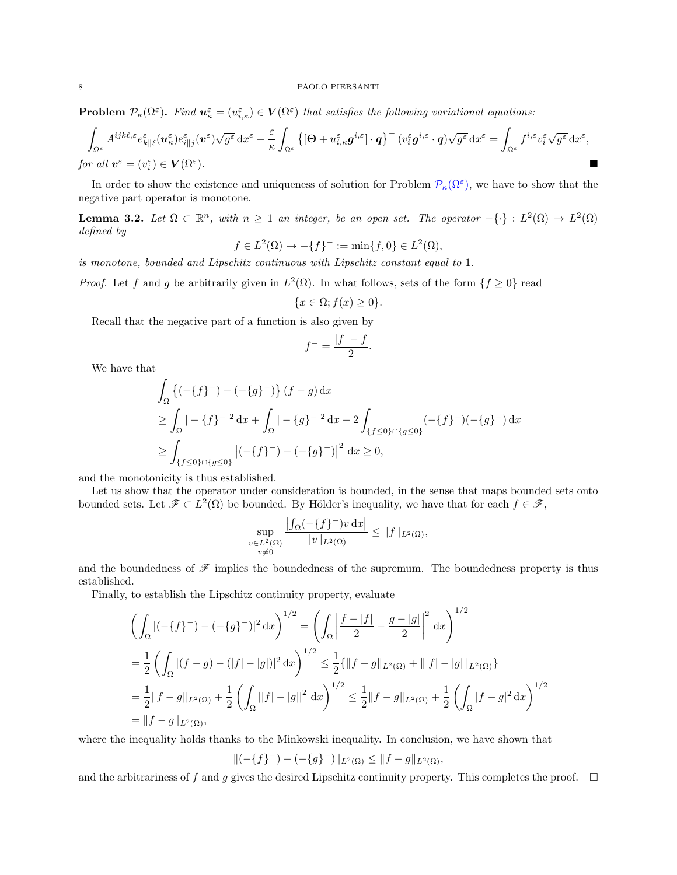<span id="page-7-0"></span>**Problem**  $\mathcal{P}_{\kappa}(\Omega^{\varepsilon})$ . Find  $\mathbf{u}_{\kappa}^{\varepsilon} = (u_{i,\kappa}^{\varepsilon}) \in \mathbf{V}(\Omega^{\varepsilon})$  that satisfies the following variational equations:

$$
\int_{\Omega^{\varepsilon}} A^{ijk\ell,\varepsilon} e_{k\| \ell}^{\varepsilon} (\boldsymbol{u}_{\kappa}^{\varepsilon}) e_{i\| j}^{\varepsilon} (\boldsymbol{v}^{\varepsilon}) \sqrt{g^{\varepsilon}} \, dx^{\varepsilon} - \frac{\varepsilon}{\kappa} \int_{\Omega^{\varepsilon}} \left\{ \left[ \boldsymbol{\Theta} + u_{i,\kappa}^{\varepsilon} \boldsymbol{g}^{i,\varepsilon} \right] \cdot \boldsymbol{q} \right\}^{-} (v_{i}^{\varepsilon} \boldsymbol{g}^{i,\varepsilon} \cdot \boldsymbol{q}) \sqrt{g^{\varepsilon}} \, dx^{\varepsilon} = \int_{\Omega^{\varepsilon}} f^{i,\varepsilon} v_{i}^{\varepsilon} \sqrt{g^{\varepsilon}} \, dx^{\varepsilon},
$$
\n*for all*  $\boldsymbol{v}^{\varepsilon} = (v_{i}^{\varepsilon}) \in \mathbf{V}(\Omega^{\varepsilon}).$ 

In order to show the existence and uniqueness of solution for Problem  $\mathcal{P}_{\kappa}(\Omega^{\varepsilon})$ , we have to show that the negative part operator is monotone.

<span id="page-7-1"></span>**Lemma 3.2.** Let  $\Omega \subset \mathbb{R}^n$ , with  $n \geq 1$  an integer, be an open set. The operator  $-\{\cdot\} : L^2(\Omega) \to L^2(\Omega)$ defined by

$$
f \in L^2(\Omega) \mapsto -\{f\}^- := \min\{f, 0\} \in L^2(\Omega),
$$

is monotone, bounded and Lipschitz continuous with Lipschitz constant equal to 1.

*Proof.* Let f and g be arbitrarily given in  $L^2(\Omega)$ . In what follows, sets of the form  $\{f \ge 0\}$  read

$$
\{x\in \Omega; f(x)\geq 0\}.
$$

Recall that the negative part of a function is also given by

$$
f^- = \frac{|f| - f}{2}.
$$

We have that

$$
\int_{\Omega} \left\{ (-\{f\}^{-}) - (-\{g\}^{-}) \right\} (f - g) dx
$$
\n
$$
\geq \int_{\Omega} | -\{f\}^{-} |^{2} dx + \int_{\Omega} | -\{g\}^{-} |^{2} dx - 2 \int_{\{f \leq 0\} \cap \{g \leq 0\}} (-\{f\}^{-}) (-\{g\}^{-}) dx
$$
\n
$$
\geq \int_{\{f \leq 0\} \cap \{g \leq 0\}} |(-\{f\}^{-}) - (-\{g\}^{-})|^{2} dx \geq 0,
$$

and the monotonicity is thus established.

Let us show that the operator under consideration is bounded, in the sense that maps bounded sets onto bounded sets. Let  $\mathscr{F} \subset L^2(\Omega)$  be bounded. By Hölder's inequality, we have that for each  $f \in \mathscr{F}$ ,

$$
\sup_{\substack{v \in L^2(\Omega) \\ v \neq 0}} \frac{\left| \int_{\Omega} (-\{f\}^-) v \, dx \right|}{\|v\|_{L^2(\Omega)}} \le \|f\|_{L^2(\Omega)},
$$

and the boundedness of  $\mathscr F$  implies the boundedness of the supremum. The boundedness property is thus established.

Finally, to establish the Lipschitz continuity property, evaluate

$$
\left(\int_{\Omega} |(-\{f\}^{-}) - (-\{g\}^{-})|^2 dx\right)^{1/2} = \left(\int_{\Omega} \left|\frac{f - |f|}{2} - \frac{g - |g|}{2}\right|^2 dx\right)^{1/2}
$$
  
\n
$$
= \frac{1}{2} \left(\int_{\Omega} |(f - g) - (|f| - |g|)|^2 dx\right)^{1/2} \le \frac{1}{2} \{\|f - g\|_{L^2(\Omega)} + \| |f| - |g| \|_{L^2(\Omega)}\}
$$
  
\n
$$
= \frac{1}{2} \|f - g\|_{L^2(\Omega)} + \frac{1}{2} \left(\int_{\Omega} ||f| - |g||^2 dx\right)^{1/2} \le \frac{1}{2} \|f - g\|_{L^2(\Omega)} + \frac{1}{2} \left(\int_{\Omega} |f - g|^2 dx\right)^{1/2}
$$
  
\n
$$
= \|f - g\|_{L^2(\Omega)},
$$

where the inequality holds thanks to the Minkowski inequality. In conclusion, we have shown that

$$
\|(-\{f\}^-) - (-\{g\}^-)\|_{L^2(\Omega)} \le \|f - g\|_{L^2(\Omega)},
$$

and the arbitrariness of f and g gives the desired Lipschitz continuity property. This completes the proof.  $\Box$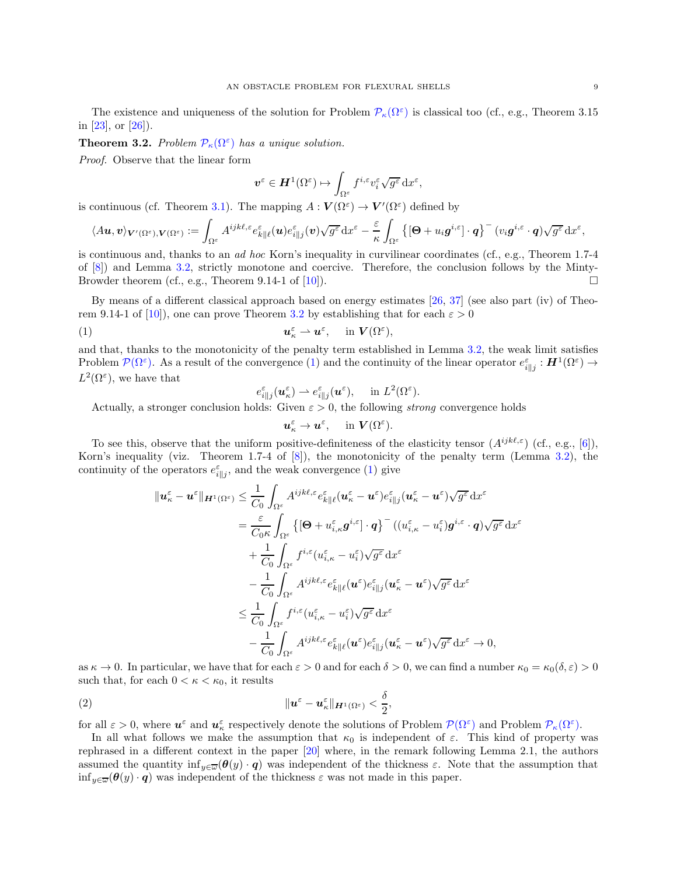The existence and uniqueness of the solution for Problem  $\mathcal{P}_{\kappa}(\Omega^{\varepsilon})$  is classical too (cf., e.g., Theorem 3.15 in [\[23](#page-24-16)], or [\[26](#page-24-17)]).

<span id="page-8-0"></span>**Theorem 3.2.** Problem  $\mathcal{P}_{\kappa}(\Omega^{\varepsilon})$  has a unique solution.

Proof. Observe that the linear form

$$
\boldsymbol{v}^{\varepsilon} \in \boldsymbol{H}^1(\Omega^{\varepsilon}) \mapsto \int_{\Omega^{\varepsilon}} f^{i,\varepsilon} v_i^{\varepsilon} \sqrt{g^{\varepsilon}} \,dx^{\varepsilon},
$$

is continuous (cf. Theorem [3.1\)](#page-6-0). The mapping  $A: V(\Omega^{\varepsilon}) \to V'(\Omega^{\varepsilon})$  defined by

$$
\langle A\boldsymbol{u},\boldsymbol{v}\rangle_{\boldsymbol{V}'(\Omega^{\varepsilon}),\boldsymbol{V}(\Omega^{\varepsilon})}:=\int_{\Omega^{\varepsilon}}A^{ijk\ell,\varepsilon}e^{\varepsilon}_{k\|\ell}(\boldsymbol{u})e^{\varepsilon}_{i\|j}(\boldsymbol{v})\sqrt{g^{\varepsilon}}\,\mathrm{d} x^{\varepsilon}-\frac{\varepsilon}{\kappa}\int_{\Omega^{\varepsilon}}\left\{ \left[\boldsymbol{\Theta}+u_{i}\boldsymbol{g}^{i,\varepsilon}\right]\cdot\boldsymbol{q}\right\} ^{-} (v_{i}\boldsymbol{g}^{i,\varepsilon}\cdot\boldsymbol{q})\sqrt{g^{\varepsilon}}\,\mathrm{d} x^{\varepsilon},
$$

is continuous and, thanks to an ad hoc Korn's inequality in curvilinear coordinates (cf., e.g., Theorem 1.7-4 of [\[8](#page-23-9)]) and Lemma [3.2,](#page-7-1) strictly monotone and coercive. Therefore, the conclusion follows by the Minty-Browder theorem (cf., e.g., Theorem 9.14-1 of [\[10\]](#page-23-11)).

By means of a different classical approach based on energy estimates [\[26,](#page-24-17) [37\]](#page-24-18) (see also part (iv) of Theo-rem 9.14-1 of [\[10](#page-23-11)]), one can prove Theorem [3.2](#page-8-0) by establishing that for each  $\varepsilon > 0$ 

(1) u ε <sup>κ</sup> ⇀ u ε , in V (Ω<sup>ε</sup> ),

and that, thanks to the monotonicity of the penalty term established in Lemma [3.2,](#page-7-1) the weak limit satisfies Problem  $\mathcal{P}(\Omega^{\varepsilon})$ . As a result of the convergence [\(1\)](#page-8-1) and the continuity of the linear operator  $e_{i||j}^{\varepsilon} : \mathbf{H}^{1}(\Omega^{\varepsilon}) \to$  $L^2(\Omega^{\varepsilon})$ , we have that

<span id="page-8-1"></span>
$$
e_{i||j}^{\varepsilon}(\mathbf{u}_{\kappa}^{\varepsilon}) \rightharpoonup e_{i||j}^{\varepsilon}(\mathbf{u}^{\varepsilon}), \quad \text{ in } L^2(\Omega^{\varepsilon}).
$$

Actually, a stronger conclusion holds: Given  $\varepsilon > 0$ , the following *strong* convergence holds

$$
\textbf{\textit{u}}_\kappa^\varepsilon\to\textbf{\textit{u}}^\varepsilon,\quad\text{ in }\mathbf{V}(\Omega^\varepsilon).
$$

To see this, observe that the uniform positive-definiteness of the elasticity tensor  $(A^{ijk\ell,\varepsilon})$  (cf., e.g., [\[6\]](#page-23-0)), Korn's inequality (viz. Theorem 1.7-4 of [\[8](#page-23-9)]), the monotonicity of the penalty term (Lemma [3.2\)](#page-7-1), the continuity of the operators  $e_{i||j}^{\varepsilon}$ , and the weak convergence [\(1\)](#page-8-1) give

$$
\begin{split}\n\|u_{\kappa}^{\varepsilon} - u^{\varepsilon}\|_{H^{1}(\Omega^{\varepsilon})} &\leq \frac{1}{C_{0}} \int_{\Omega^{\varepsilon}} A^{ijk\ell,\varepsilon} e_{k\|\ell}^{\varepsilon} (u_{\kappa}^{\varepsilon} - u^{\varepsilon}) e_{i\|\jmath}^{\varepsilon} (u_{\kappa}^{\varepsilon} - u^{\varepsilon}) \sqrt{g^{\varepsilon}} \, dx^{\varepsilon} \\
&= \frac{\varepsilon}{C_{0} \kappa} \int_{\Omega^{\varepsilon}} \left\{ \left[\Theta + u_{i,\kappa}^{\varepsilon} g^{i,\varepsilon}\right] \cdot q \right\}^{-} \left( (u_{i,\kappa}^{\varepsilon} - u_{i}^{\varepsilon}) g^{i,\varepsilon} \cdot q \right) \sqrt{g^{\varepsilon}} \, dx^{\varepsilon} \\
&\quad + \frac{1}{C_{0}} \int_{\Omega^{\varepsilon}} f^{i,\varepsilon} (u_{i,\kappa}^{\varepsilon} - u_{i}^{\varepsilon}) \sqrt{g^{\varepsilon}} \, dx^{\varepsilon} \\
&\quad - \frac{1}{C_{0}} \int_{\Omega^{\varepsilon}} A^{ijk\ell,\varepsilon} e_{k\|\ell}^{\varepsilon} (u^{\varepsilon}) e_{i\|\jmath}^{\varepsilon} (u_{\kappa}^{\varepsilon} - u^{\varepsilon}) \sqrt{g^{\varepsilon}} \, dx^{\varepsilon} \\
&\leq \frac{1}{C_{0}} \int_{\Omega^{\varepsilon}} f^{i,\varepsilon} (u_{i,\kappa}^{\varepsilon} - u_{i}^{\varepsilon}) \sqrt{g^{\varepsilon}} \, dx^{\varepsilon} \\
&\quad - \frac{1}{C_{0}} \int_{\Omega^{\varepsilon}} A^{ijk\ell,\varepsilon} e_{k\|\ell}^{\varepsilon} (u^{\varepsilon}) e_{i\|\jmath}^{\varepsilon} (u_{\kappa}^{\varepsilon} - u^{\varepsilon}) \sqrt{g^{\varepsilon}} \, dx^{\varepsilon} \to 0,\n\end{split}
$$

as  $\kappa \to 0$ . In particular, we have that for each  $\varepsilon > 0$  and for each  $\delta > 0$ , we can find a number  $\kappa_0 = \kappa_0(\delta, \varepsilon) > 0$ such that, for each  $0 < \kappa < \kappa_0$ , it results

(2) 
$$
\|\boldsymbol{u}^{\varepsilon}-\boldsymbol{u}_{\kappa}^{\varepsilon}\|_{\boldsymbol{H}^{1}(\Omega^{\varepsilon})}<\frac{\delta}{2},
$$

<span id="page-8-2"></span>for all  $\varepsilon > 0$ , where  $\mathbf{u}^{\varepsilon}$  and  $\mathbf{u}^{\varepsilon}$  respectively denote the solutions of Problem  $\mathcal{P}(\Omega^{\varepsilon})$  and Problem  $\mathcal{P}_{\kappa}(\Omega^{\varepsilon})$ .

In all what follows we make the assumption that  $\kappa_0$  is independent of  $\varepsilon$ . This kind of property was rephrased in a different context in the paper [\[20\]](#page-24-10) where, in the remark following Lemma 2.1, the authors assumed the quantity  $\inf_{y\in\overline{\omega}}(\theta(y)\cdot q)$  was independent of the thickness  $\varepsilon$ . Note that the assumption that  $\inf_{y \in \overline{\omega}} (\theta(y) \cdot q)$  was independent of the thickness  $\varepsilon$  was not made in this paper.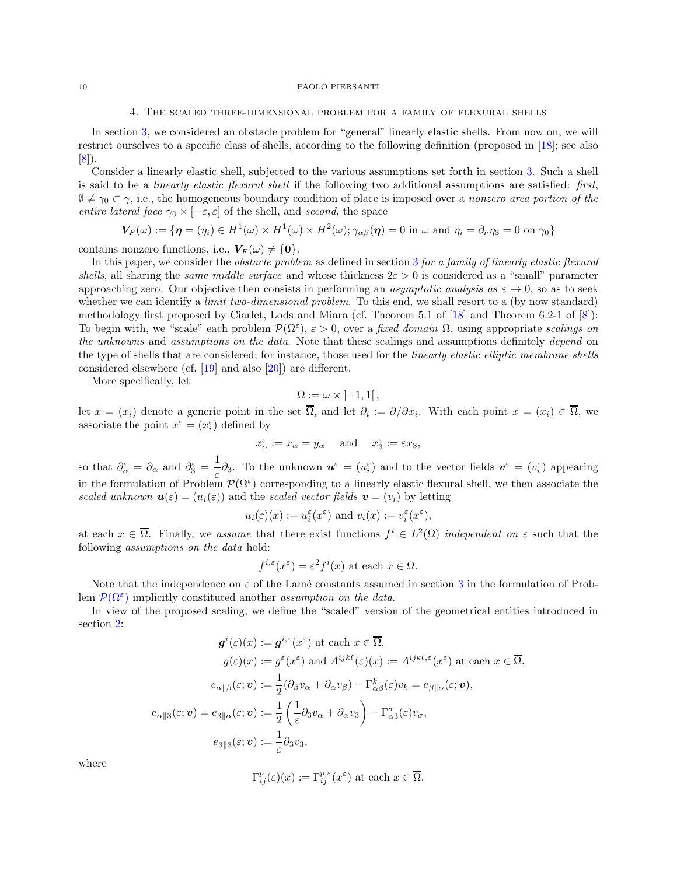### 4. The scaled three-dimensional problem for a family of flexural shells

<span id="page-9-0"></span>In section [3,](#page-3-0) we considered an obstacle problem for "general" linearly elastic shells. From now on, we will restrict ourselves to a specific class of shells, according to the following definition (proposed in [\[18](#page-24-3)]; see also  $|8|$ ).

Consider a linearly elastic shell, subjected to the various assumptions set forth in section [3.](#page-3-0) Such a shell is said to be a linearly elastic flexural shell if the following two additional assumptions are satisfied: first,  $\emptyset \neq \gamma_0 \subset \gamma$ , i.e., the homogeneous boundary condition of place is imposed over a nonzero area portion of the entire lateral face  $\gamma_0 \times [-\varepsilon, \varepsilon]$  of the shell, and second, the space

$$
\boldsymbol{V_F}(\omega) := \{ \boldsymbol{\eta} = (\eta_i) \in H^1(\omega) \times H^1(\omega) \times H^2(\omega); \gamma_{\alpha\beta}(\boldsymbol{\eta}) = 0 \text{ in } \omega \text{ and } \eta_i = \partial_\nu \eta_3 = 0 \text{ on } \gamma_0 \}
$$

contains nonzero functions, i.e.,  $V_F(\omega) \neq \{0\}.$ 

In this paper, we consider the *obstacle problem* as defined in section [3](#page-3-0) for a family of linearly elastic flexural shells, all sharing the same middle surface and whose thickness  $2\varepsilon > 0$  is considered as a "small" parameter approaching zero. Our objective then consists in performing an *asymptotic analysis as*  $\varepsilon \to 0$ , so as to seek whether we can identify a *limit two-dimensional problem*. To this end, we shall resort to a (by now standard) methodology first proposed by Ciarlet, Lods and Miara (cf. Theorem 5.1 of [\[18](#page-24-3)] and Theorem 6.2-1 of [\[8\]](#page-23-9)): To begin with, we "scale" each problem  $\mathcal{P}(\Omega^{\varepsilon})$ ,  $\varepsilon > 0$ , over a fixed domain  $\Omega$ , using appropriate scalings on the unknowns and assumptions on the data. Note that these scalings and assumptions definitely depend on the type of shells that are considered; for instance, those used for the *linearly elastic elliptic membrane shells* considered elsewhere (cf. [\[19](#page-24-9)] and also [\[20](#page-24-10)]) are different.

More specifically, let

$$
\Omega := \omega \times [-1,1[,
$$

let  $x = (x_i)$  denote a generic point in the set  $\Omega$ , and let  $\partial_i := \partial/\partial x_i$ . With each point  $x = (x_i) \in \Omega$ , we associate the point  $x^{\varepsilon} = (x^{\varepsilon}_i)$  defined by

$$
x_{\alpha}^{\varepsilon} := x_{\alpha} = y_{\alpha} \quad \text{and} \quad x_{3}^{\varepsilon} := \varepsilon x_{3},
$$

so that  $\partial_{\alpha}^{\varepsilon} = \partial_{\alpha}$  and  $\partial_{3}^{\varepsilon} = \frac{1}{\varepsilon}$  $\mathbf{u} = \begin{pmatrix} \mathbf{u} & \mathbf{v} \end{pmatrix}$  and to the vector fields  $\mathbf{v}^{\varepsilon} = (v_i^{\varepsilon})$  appearing  $\varepsilon$ in the formulation of Problem  $\mathcal{P}(\Omega^{\varepsilon})$  corresponding to a linearly elastic flexural shell, we then associate the scaled unknown  $\mathbf{u}(\varepsilon) = (u_i(\varepsilon))$  and the scaled vector fields  $\mathbf{v} = (v_i)$  by letting

$$
u_i(\varepsilon)(x) := u_i^{\varepsilon}(x^{\varepsilon})
$$
 and  $v_i(x) := v_i^{\varepsilon}(x^{\varepsilon}),$ 

at each  $x \in \overline{\Omega}$ . Finally, we assume that there exist functions  $f^i \in L^2(\Omega)$  independent on  $\varepsilon$  such that the following assumptions on the data hold:

$$
f^{i,\varepsilon}(x^{\varepsilon}) = \varepsilon^2 f^i(x)
$$
 at each  $x \in \Omega$ .

Note that the independence on  $\varepsilon$  of the Lamé constants assumed in section [3](#page-3-0) in the formulation of Problem  $\mathcal{P}(\Omega^{\varepsilon})$  implicitly constituted another *assumption on the data*.

In view of the proposed scaling, we define the "scaled" version of the geometrical entities introduced in section [2:](#page-1-0)

$$
\mathbf{g}^{i}(\varepsilon)(x) := \mathbf{g}^{i,\varepsilon}(x^{\varepsilon}) \text{ at each } x \in \overline{\Omega},
$$

$$
g(\varepsilon)(x) := g^{\varepsilon}(x^{\varepsilon}) \text{ and } A^{ijk\ell}(\varepsilon)(x) := A^{ijk\ell,\varepsilon}(x^{\varepsilon}) \text{ at each } x \in \overline{\Omega},
$$

$$
e_{\alpha \|\beta}(\varepsilon; \mathbf{v}) := \frac{1}{2} (\partial_{\beta} v_{\alpha} + \partial_{\alpha} v_{\beta}) - \Gamma^{k}_{\alpha\beta}(\varepsilon)v_{k} = e_{\beta \|\alpha}(\varepsilon; \mathbf{v}),
$$

$$
e_{\alpha \|\beta}(\varepsilon; \mathbf{v}) = e_{3\|\alpha}(\varepsilon; \mathbf{v}) := \frac{1}{2} \left( \frac{1}{\varepsilon} \partial_{3} v_{\alpha} + \partial_{\alpha} v_{3} \right) - \Gamma^{\sigma}_{\alpha 3}(\varepsilon)v_{\sigma},
$$

$$
e_{3\|\beta}(\varepsilon; \mathbf{v}) := \frac{1}{\varepsilon} \partial_{3} v_{3},
$$

where

$$
\Gamma_{ij}^{p}(\varepsilon)(x) := \Gamma_{ij}^{p,\varepsilon}(x^{\varepsilon}) \text{ at each } x \in \overline{\Omega}.
$$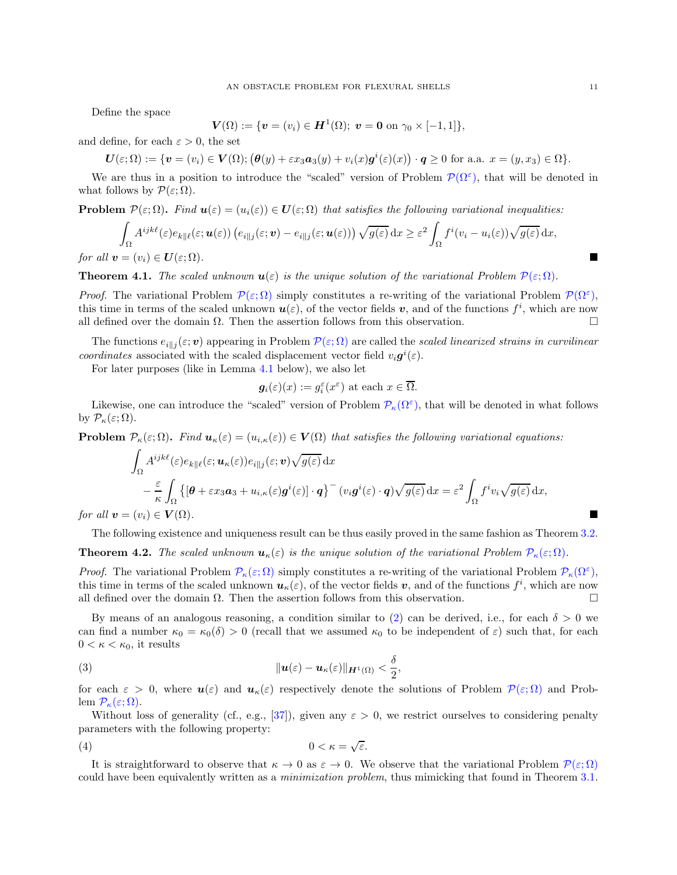Define the space

$$
\mathbf{V}(\Omega) := \{ \mathbf{v} = (v_i) \in \mathbf{H}^1(\Omega); \ \mathbf{v} = \mathbf{0} \text{ on } \gamma_0 \times [-1,1] \},
$$

and define, for each  $\varepsilon > 0$ , the set

$$
\boldsymbol{U}(\varepsilon;\Omega):=\{\boldsymbol{v}=(v_i)\in\boldsymbol{V}(\Omega); \big(\boldsymbol{\theta}(y)+\varepsilon x_3\boldsymbol{a}_3(y)+v_i(x)\boldsymbol{g}^i(\varepsilon)(x)\big)\cdot\boldsymbol{q}\geq 0\,\,\text{for a.a.}\,\,x=(y,x_3)\in\Omega\}.
$$

We are thus in a position to introduce the "scaled" version of Problem  $\mathcal{P}(\Omega^{\varepsilon})$ , that will be denoted in what follows by  $\mathcal{P}(\varepsilon;\Omega)$ .

<span id="page-10-0"></span>**Problem**  $\mathcal{P}(\varepsilon;\Omega)$ . Find  $\mathbf{u}(\varepsilon) = (u_i(\varepsilon)) \in \mathbf{U}(\varepsilon;\Omega)$  that satisfies the following variational inequalities:

$$
\int_{\Omega} A^{ijk\ell}(\varepsilon) e_{k\|\ell}(\varepsilon; \boldsymbol{u}(\varepsilon)) \left( e_{i\|\boldsymbol{j}}(\varepsilon; \boldsymbol{v}) - e_{i\|\boldsymbol{j}}(\varepsilon; \boldsymbol{u}(\varepsilon)) \right) \sqrt{g(\varepsilon)} \, dx \geq \varepsilon^2 \int_{\Omega} f^i(v_i - u_i(\varepsilon)) \sqrt{g(\varepsilon)} \, dx,
$$
\nfor all  $\boldsymbol{v} = (v_i) \in \boldsymbol{U}(\varepsilon; \Omega)$ .

**Theorem 4.1.** The scaled unknown  $u(\varepsilon)$  is the unique solution of the variational Problem  $\mathcal{P}(\varepsilon;\Omega)$ .

*Proof.* The variational Problem  $\mathcal{P}(\varepsilon;\Omega)$  simply constitutes a re-writing of the variational Problem  $\mathcal{P}(\Omega^{\varepsilon})$ , this time in terms of the scaled unknown  $u(\varepsilon)$ , of the vector fields v, and of the functions  $f^i$ , which are now all defined over the domain  $\Omega$ . Then the assertion follows from this observation.

The functions  $e_{i|j}(\varepsilon; \bm{v})$  appearing in Problem  $\mathcal{P}(\varepsilon; \Omega)$  are called the scaled linearized strains in curvilinear coordinates associated with the scaled displacement vector field  $v_i \mathbf{g}^i(\varepsilon)$ .

For later purposes (like in Lemma [4.1](#page-11-0) below), we also let

$$
g_i(\varepsilon)(x) := g_i^{\varepsilon}(x^{\varepsilon})
$$
 at each  $x \in \overline{\Omega}$ .

Likewise, one can introduce the "scaled" version of Problem  $\mathcal{P}_{\kappa}(\Omega^{\varepsilon})$ , that will be denoted in what follows by  $\mathcal{P}_{\kappa}(\varepsilon;\Omega)$ .

<span id="page-10-1"></span>**Problem**  $\mathcal{P}_{\kappa}(\varepsilon;\Omega)$ . Find  $\mathbf{u}_{\kappa}(\varepsilon) = (u_{i,\kappa}(\varepsilon)) \in \mathbf{V}(\Omega)$  that satisfies the following variational equations:

$$
\int_{\Omega} A^{ijk\ell}(\varepsilon) e_{k\|\ell}(\varepsilon; \boldsymbol{u}_{\kappa}(\varepsilon)) e_{i\|\jmath}(\varepsilon; \boldsymbol{v}) \sqrt{g(\varepsilon)} \, dx \n- \frac{\varepsilon}{\kappa} \int_{\Omega} \left\{ \left[ \boldsymbol{\theta} + \varepsilon x_3 \boldsymbol{a}_3 + u_{i,\kappa}(\varepsilon) \boldsymbol{g}^i(\varepsilon) \right] \cdot \boldsymbol{q} \right\}^{\mathbf{-}} (v_i \boldsymbol{g}^i(\varepsilon) \cdot \boldsymbol{q}) \sqrt{g(\varepsilon)} \, dx = \varepsilon^2 \int_{\Omega} f^i v_i \sqrt{g(\varepsilon)} \, dx,
$$
\n
$$
= (v_i) \in \mathbf{V}(\Omega).
$$

for all  $\mathbf{v} = (v_i) \in \mathbf{V}(\Omega)$ .

The following existence and uniqueness result can be thus easily proved in the same fashion as Theorem [3.2.](#page-8-0)

<span id="page-10-2"></span>**Theorem 4.2.** The scaled unknown  $u_{\kappa}(\varepsilon)$  is the unique solution of the variational Problem  $\mathcal{P}_{\kappa}(\varepsilon;\Omega)$ .

*Proof.* The variational Problem  $\mathcal{P}_{\kappa}(\varepsilon;\Omega)$  simply constitutes a re-writing of the variational Problem  $\mathcal{P}_{\kappa}(\Omega^{\varepsilon})$ , this time in terms of the scaled unknown  $u_{\kappa}(\varepsilon)$ , of the vector fields  $v$ , and of the functions  $f^i$ , which are now all defined over the domain  $\Omega$ . Then the assertion follows from this observation.

By means of an analogous reasoning, a condition similar to [\(2\)](#page-8-2) can be derived, i.e., for each  $\delta > 0$  we can find a number  $\kappa_0 = \kappa_0(\delta) > 0$  (recall that we assumed  $\kappa_0$  to be independent of  $\varepsilon$ ) such that, for each  $0 < \kappa < \kappa_0$ , it results

<span id="page-10-4"></span>(3) 
$$
\|\mathbf{u}(\varepsilon)-\mathbf{u}_{\kappa}(\varepsilon)\|_{\mathbf{H}^{1}(\Omega)}<\frac{\delta}{2},
$$

for each  $\varepsilon > 0$ , where  $u(\varepsilon)$  and  $u_{\kappa}(\varepsilon)$  respectively denote the solutions of Problem  $\mathcal{P}(\varepsilon;\Omega)$  and Problem  $\mathcal{P}_{\kappa}(\varepsilon;\Omega)$ .

Without loss of generality (cf., e.g., [\[37\]](#page-24-18)), given any  $\varepsilon > 0$ , we restrict ourselves to considering penalty parameters with the following property:

<span id="page-10-3"></span>
$$
(4) \t\t\t 0 < \kappa = \sqrt{\varepsilon}.
$$

It is straightforward to observe that  $\kappa \to 0$  as  $\varepsilon \to 0$ . We observe that the variational Problem  $\mathcal{P}(\varepsilon;\Omega)$ could have been equivalently written as a *minimization problem*, thus mimicking that found in Theorem [3.1.](#page-6-0)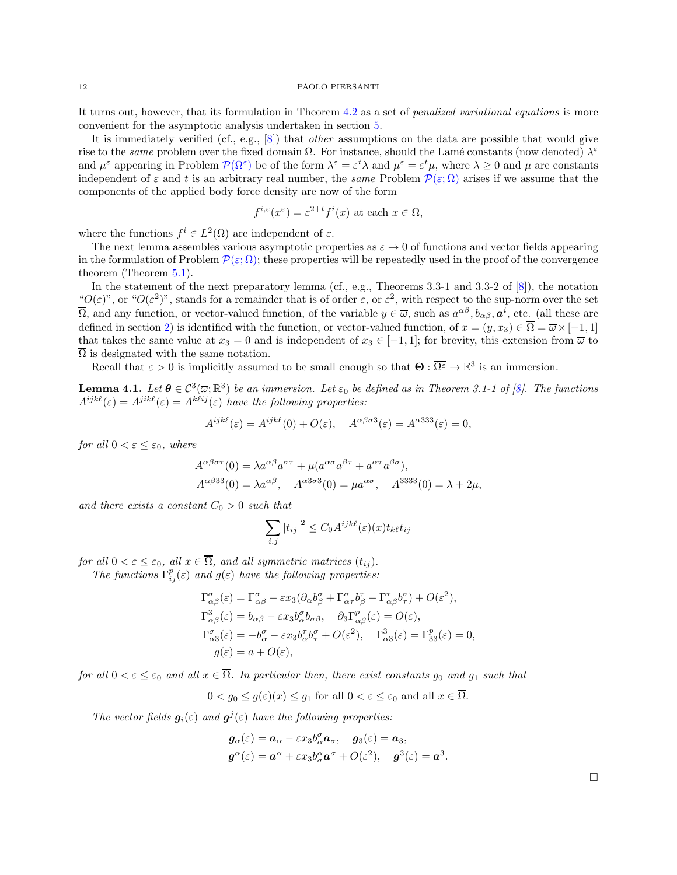It turns out, however, that its formulation in Theorem [4.2](#page-10-2) as a set of penalized variational equations is more convenient for the asymptotic analysis undertaken in section [5.](#page-12-0)

It is immediately verified (cf., e.g.,  $[8]$ ) that *other* assumptions on the data are possible that would give rise to the *same* problem over the fixed domain  $\Omega$ . For instance, should the Lamé constants (now denoted)  $\lambda^{\varepsilon}$ and  $\mu^{\varepsilon}$  appearing in Problem  $\mathcal{P}(\Omega^{\varepsilon})$  be of the form  $\lambda^{\varepsilon} = \varepsilon^{t} \lambda$  and  $\mu^{\varepsilon} = \varepsilon^{t} \mu$ , where  $\lambda \geq 0$  and  $\mu$  are constants independent of  $\varepsilon$  and t is an arbitrary real number, the same Problem  $\mathcal{P}(\varepsilon;\Omega)$  arises if we assume that the components of the applied body force density are now of the form

$$
f^{i,\varepsilon}(x^{\varepsilon}) = \varepsilon^{2+t} f^i(x)
$$
 at each  $x \in \Omega$ ,

where the functions  $f^i \in L^2(\Omega)$  are independent of  $\varepsilon$ .

The next lemma assembles various asymptotic properties as  $\varepsilon \to 0$  of functions and vector fields appearing in the formulation of Problem  $\mathcal{P}(\varepsilon;\Omega)$ ; these properties will be repeatedly used in the proof of the convergence theorem (Theorem [5.1\)](#page-13-0).

In the statement of the next preparatory lemma (cf., e.g., Theorems 3.3-1 and 3.3-2 of [\[8](#page-23-9)]), the notation " $O(\varepsilon)$ ", or " $O(\varepsilon^2)$ ", stands for a remainder that is of order  $\varepsilon$ , or  $\varepsilon^2$ , with respect to the sup-norm over the set  $\overline{\Omega}$ , and any function, or vector-valued function, of the variable  $y \in \overline{\omega}$ , such as  $a^{\alpha\beta}, b_{\alpha\beta}, a^i$ , etc. (all these are defined in section [2\)](#page-1-0) is identified with the function, or vector-valued function, of  $x = (y, x_3) \in \overline{\Omega} = \overline{\omega} \times [-1, 1]$ that takes the same value at  $x_3 = 0$  and is independent of  $x_3 \in [-1,1]$ ; for brevity, this extension from  $\overline{\omega}$  to  $\Omega$  is designated with the same notation.

Recall that  $\varepsilon > 0$  is implicitly assumed to be small enough so that  $\Theta : \overline{\Omega^{\varepsilon}} \to \mathbb{E}^{3}$  is an immersion.

<span id="page-11-0"></span>**Lemma 4.1.** Let  $\theta \in C^3(\overline{\omega}; \mathbb{R}^3)$  be an immersion. Let  $\varepsilon_0$  be defined as in Theorem 3.1-1 of [\[8](#page-23-9)]. The functions  $A^{ijk\ell}(\varepsilon) = A^{jik\ell}(\varepsilon) = A^{k\ell ij}(\varepsilon)$  have the following properties:

$$
A^{ijk\ell}(\varepsilon) = A^{ijk\ell}(0) + O(\varepsilon), \quad A^{\alpha\beta\sigma3}(\varepsilon) = A^{\alpha333}(\varepsilon) = 0,
$$

for all  $0 < \varepsilon \leq \varepsilon_0$ , where

$$
A^{\alpha\beta\sigma\tau}(0) = \lambda a^{\alpha\beta} a^{\sigma\tau} + \mu (a^{\alpha\sigma} a^{\beta\tau} + a^{\alpha\tau} a^{\beta\sigma}),
$$
  

$$
A^{\alpha\beta 33}(0) = \lambda a^{\alpha\beta}, \quad A^{\alpha 3\sigma 3}(0) = \mu a^{\alpha\sigma}, \quad A^{3333}(0) = \lambda + 2\mu,
$$

and there exists a constant  $C_0 > 0$  such that

$$
\sum_{i,j} |t_{ij}|^2 \le C_0 A^{ijk\ell}(\varepsilon)(x) t_{k\ell} t_{ij}
$$

for all  $0 < \varepsilon \leq \varepsilon_0$ , all  $x \in \overline{\Omega}$ , and all symmetric matrices  $(t_{ij})$ .

The functions  $\Gamma_{ij}^p(\varepsilon)$  and  $g(\varepsilon)$  have the following properties:

$$
\begin{split} \Gamma^{\sigma}_{\alpha\beta}(\varepsilon) &= \Gamma^{\sigma}_{\alpha\beta} - \varepsilon x_3 (\partial_{\alpha} b^{\sigma}_{\beta} + \Gamma^{\sigma}_{\alpha\tau} b^{\tau}_{\beta} - \Gamma^{\tau}_{\alpha\beta} b^{\sigma}_{\tau}) + O(\varepsilon^2), \\ \Gamma^3_{\alpha\beta}(\varepsilon) &= b_{\alpha\beta} - \varepsilon x_3 b^{\sigma}_{\alpha} b_{\sigma\beta}, \quad \partial_3 \Gamma^p_{\alpha\beta}(\varepsilon) = O(\varepsilon), \\ \Gamma^{\sigma}_{\alpha3}(\varepsilon) &= -b^{\sigma}_{\alpha} - \varepsilon x_3 b^{\tau}_{\alpha} b^{\sigma}_{\tau} + O(\varepsilon^2), \quad \Gamma^3_{\alpha3}(\varepsilon) = \Gamma^p_{33}(\varepsilon) = 0, \\ g(\varepsilon) &= a + O(\varepsilon), \end{split}
$$

for all  $0 < \varepsilon \leq \varepsilon_0$  and all  $x \in \overline{\Omega}$ . In particular then, there exist constants  $g_0$  and  $g_1$  such that

 $0 < g_0 \leq g(\varepsilon)(x) \leq g_1$  for all  $0 < \varepsilon \leq \varepsilon_0$  and all  $x \in \overline{\Omega}$ .

The vector fields  $g_i(\varepsilon)$  and  $g^j(\varepsilon)$  have the following properties:

$$
g_{\alpha}(\varepsilon) = a_{\alpha} - \varepsilon x_3 b_{\alpha}^{\sigma} a_{\sigma}, \quad g_3(\varepsilon) = a_3,
$$
  

$$
g^{\alpha}(\varepsilon) = a^{\alpha} + \varepsilon x_3 b_{\sigma}^{\alpha} a^{\sigma} + O(\varepsilon^2), \quad g^3(\varepsilon) = a^3
$$

.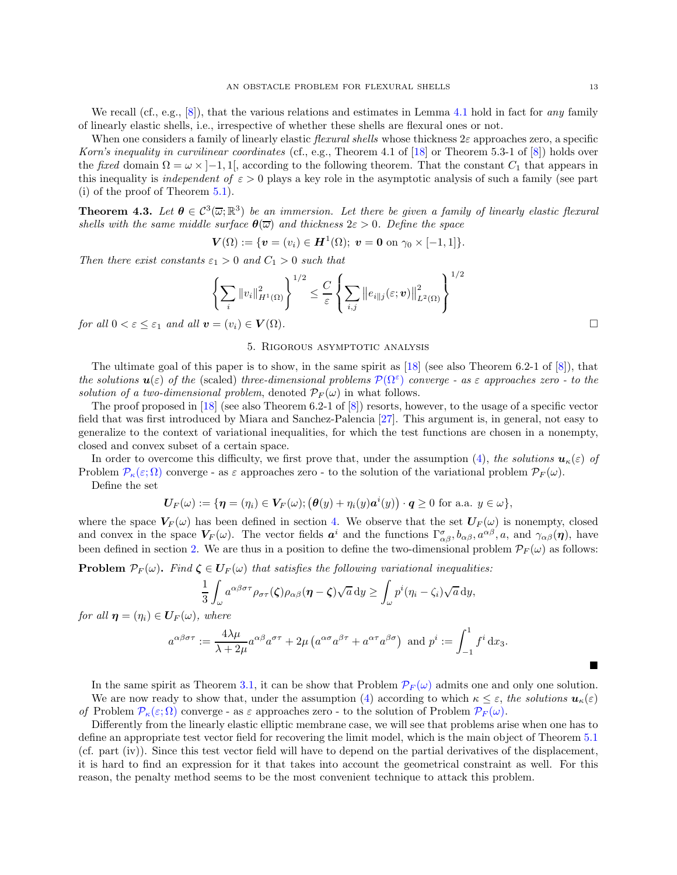We recall (cf., e.g.,  $[8]$ ), that the various relations and estimates in Lemma [4.1](#page-11-0) hold in fact for *any* family of linearly elastic shells, i.e., irrespective of whether these shells are flexural ones or not.

When one considers a family of linearly elastic *flexural shells* whose thickness  $2\varepsilon$  approaches zero, a specific Korn's inequality in curvilinear coordinates (cf., e.g., Theorem 4.1 of [\[18\]](#page-24-3) or Theorem 5.3-1 of [\[8](#page-23-9)]) holds over the fixed domain  $\Omega = \omega \times [-1, 1]$ , according to the following theorem. That the constant  $C_1$  that appears in this inequality is *independent of*  $\varepsilon > 0$  plays a key role in the asymptotic analysis of such a family (see part (i) of the proof of Theorem [5.1\)](#page-13-0).

<span id="page-12-2"></span>**Theorem 4.3.** Let  $\theta \in C^3(\overline{\omega}; \mathbb{R}^3)$  be an immersion. Let there be given a family of linearly elastic flexural shells with the same middle surface  $\theta(\overline{\omega})$  and thickness  $2\varepsilon > 0$ . Define the space

$$
\mathbf{V}(\Omega) := \{ \mathbf{v} = (v_i) \in \mathbf{H}^1(\Omega); \ \mathbf{v} = \mathbf{0} \text{ on } \gamma_0 \times [-1,1] \}.
$$

Then there exist constants  $\varepsilon_1 > 0$  and  $C_1 > 0$  such that

$$
\left\{\sum_{i}\|v_{i}\|_{H^{1}(\Omega)}^{2}\right\}^{1/2} \leq \frac{C}{\varepsilon} \left\{\sum_{i,j}\left\|e_{i\|j}(\varepsilon; \boldsymbol{v})\right\|_{L^{2}(\Omega)}^{2}\right\}^{1/2}
$$

<span id="page-12-0"></span>for all  $0 < \varepsilon \leq \varepsilon_1$  and all  $\boldsymbol{v} = (v_i) \in \boldsymbol{V}(\Omega)$ .

# 5. Rigorous asymptotic analysis

The ultimate goal of this paper is to show, in the same spirit as  $\frac{18}{18}$  (see also Theorem 6.2-1 of  $\frac{8}{18}$ ), that the solutions  $u(\varepsilon)$  of the (scaled) three-dimensional problems  $\mathcal{P}(\Omega^{\varepsilon})$  converge - as  $\varepsilon$  approaches zero - to the solution of a two-dimensional problem, denoted  $\mathcal{P}_F(\omega)$  in what follows.

The proof proposed in [\[18\]](#page-24-3) (see also Theorem 6.2-1 of [\[8](#page-23-9)]) resorts, however, to the usage of a specific vector field that was first introduced by Miara and Sanchez-Palencia [\[27\]](#page-24-19). This argument is, in general, not easy to generalize to the context of variational inequalities, for which the test functions are chosen in a nonempty, closed and convex subset of a certain space.

In order to overcome this difficulty, we first prove that, under the assumption [\(4\)](#page-10-3), the solutions  $u_{\kappa}(\varepsilon)$  of Problem  $\mathcal{P}_{\kappa}(\varepsilon;\Omega)$  converge - as  $\varepsilon$  approaches zero - to the solution of the variational problem  $\mathcal{P}_F(\omega)$ .

Define the set

$$
\boldsymbol{U}_F(\omega) := \{ \boldsymbol{\eta} = (\eta_i) \in \boldsymbol{V}_F(\omega); \big(\boldsymbol{\theta}(y) + \eta_i(y) \boldsymbol{a}^i(y)\big) \cdot \boldsymbol{q} \ge 0 \text{ for a.a. } y \in \omega \},
$$

where the space  $V_F(\omega)$  has been defined in section [4.](#page-9-0) We observe that the set  $U_F(\omega)$  is nonempty, closed and convex in the space  $V_F(\omega)$ . The vector fields  $a^i$  and the functions  $\Gamma^{\sigma}_{\alpha\beta}, b_{\alpha\beta}, a^{\alpha\beta}, a$ , and  $\gamma_{\alpha\beta}(\eta)$ , have been defined in section [2.](#page-1-0) We are thus in a position to define the two-dimensional problem  $\mathcal{P}_F(\omega)$  as follows:

<span id="page-12-1"></span>**Problem**  $\mathcal{P}_F(\omega)$ . Find  $\zeta \in \mathbf{U}_F(\omega)$  that satisfies the following variational inequalities:

$$
\frac{1}{3} \int_{\omega} a^{\alpha \beta \sigma \tau} \rho_{\sigma \tau}(\zeta) \rho_{\alpha \beta}(\eta - \zeta) \sqrt{a} \, \mathrm{d}y \ge \int_{\omega} p^i (\eta_i - \zeta_i) \sqrt{a} \, \mathrm{d}y,
$$

for all  $\boldsymbol{\eta} = (\eta_i) \in \boldsymbol{U}_F(\omega)$ , where

$$
a^{\alpha\beta\sigma\tau} := \frac{4\lambda\mu}{\lambda + 2\mu} a^{\alpha\beta} a^{\sigma\tau} + 2\mu \left( a^{\alpha\sigma} a^{\beta\tau} + a^{\alpha\tau} a^{\beta\sigma} \right) \text{ and } p^i := \int_{-1}^1 f^i \, dx_3.
$$

In the same spirit as Theorem [3.1,](#page-6-0) it can be show that Problem  $\mathcal{P}_F(\omega)$  admits one and only one solution. We are now ready to show that, under the assumption [\(4\)](#page-10-3) according to which  $\kappa \leq \varepsilon$ , the solutions  $u_{\kappa}(\varepsilon)$ of Problem  $\mathcal{P}_{\kappa}(\varepsilon;\Omega)$  converge - as  $\varepsilon$  approaches zero - to the solution of Problem  $\mathcal{P}_{F}(\omega)$ .

Differently from the linearly elastic elliptic membrane case, we will see that problems arise when one has to define an appropriate test vector field for recovering the limit model, which is the main object of Theorem [5.1](#page-13-0) (cf. part (iv)). Since this test vector field will have to depend on the partial derivatives of the displacement, it is hard to find an expression for it that takes into account the geometrical constraint as well. For this reason, the penalty method seems to be the most convenient technique to attack this problem.

 $\blacksquare$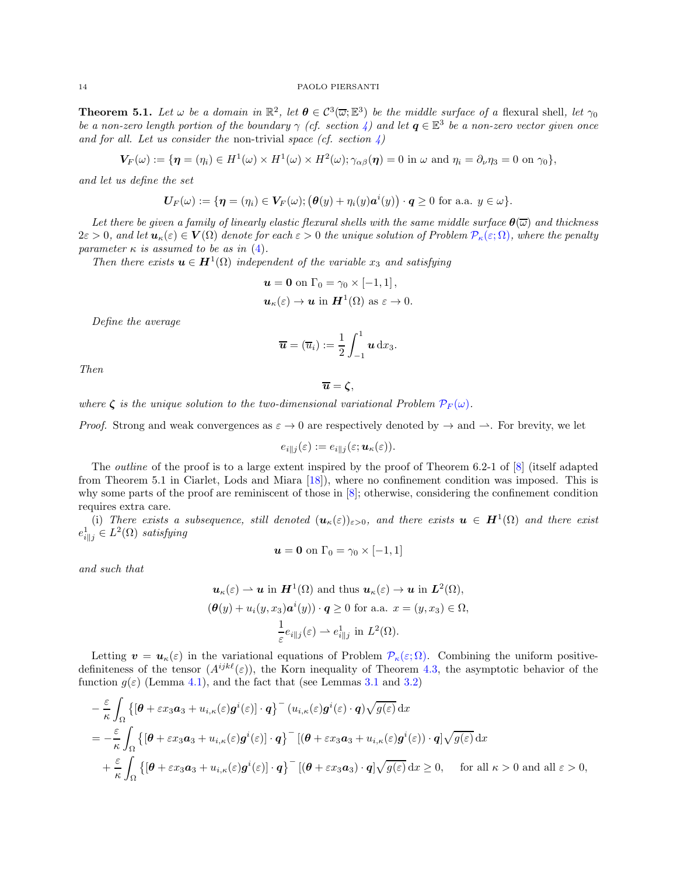<span id="page-13-0"></span>**Theorem 5.1.** Let  $\omega$  be a domain in  $\mathbb{R}^2$ , let  $\boldsymbol{\theta} \in C^3(\overline{\omega}; \mathbb{E}^3)$  be the middle surface of a flexural shell, let  $\gamma_0$ be a non-zero length portion of the boundary  $\gamma$  (cf. section [4\)](#page-9-0) and let  $\bm{q} \in \mathbb{E}^3$  be a non-zero vector given once and for all. Let us consider the non-trivial space (cf. section  $\downarrow$ )

$$
\boldsymbol{V_F}(\omega) := \{ \boldsymbol{\eta} = (\eta_i) \in H^1(\omega) \times H^1(\omega) \times H^2(\omega); \gamma_{\alpha\beta}(\boldsymbol{\eta}) = 0 \text{ in } \omega \text{ and } \eta_i = \partial_\nu \eta_3 = 0 \text{ on } \gamma_0 \},
$$

and let us define the set

$$
\mathbf{U}_F(\omega) := \{ \boldsymbol{\eta} = (\eta_i) \in \mathbf{V}_F(\omega); \big(\boldsymbol{\theta}(y) + \eta_i(y) \boldsymbol{a}^i(y)\big) \cdot \boldsymbol{q} \ge 0 \text{ for a.a. } y \in \omega \}.
$$

Let there be given a family of linearly elastic flexural shells with the same middle surface  $\theta(\overline{\omega})$  and thickness  $2\varepsilon > 0$ , and let  $u_{\kappa}(\varepsilon) \in V(\Omega)$  denote for each  $\varepsilon > 0$  the unique solution of Problem  $\mathcal{P}_{\kappa}(\varepsilon; \Omega)$ , where the penalty parameter  $\kappa$  is assumed to be as in [\(4\)](#page-10-3).

Then there exists  $\mathbf{u} \in \mathbf{H}^1(\Omega)$  independent of the variable  $x_3$  and satisfying

$$
\mathbf{u} = \mathbf{0} \text{ on } \Gamma_0 = \gamma_0 \times [-1, 1],
$$
  

$$
\mathbf{u}_{\kappa}(\varepsilon) \to \mathbf{u} \text{ in } \mathbf{H}^1(\Omega) \text{ as } \varepsilon \to 0.
$$

Define the average

$$
\overline{\boldsymbol{u}}=(\overline{u}_i):=\frac{1}{2}\int_{-1}^1 \boldsymbol{u}\,\mathrm{d}x_3.
$$

Then

$$
\overline{u}=\zeta,
$$

where  $\zeta$  is the unique solution to the two-dimensional variational Problem  $\mathcal{P}_F(\omega)$ .

*Proof.* Strong and weak convergences as  $\varepsilon \to 0$  are respectively denoted by  $\to$  and  $\to$ . For brevity, we let

$$
e_{i\|j}(\varepsilon) := e_{i\|j}(\varepsilon; \boldsymbol{u}_{\kappa}(\varepsilon)).
$$

The outline of the proof is to a large extent inspired by the proof of Theorem 6.2-1 of [\[8\]](#page-23-9) (itself adapted from Theorem 5.1 in Ciarlet, Lods and Miara [\[18\]](#page-24-3)), where no confinement condition was imposed. This is why some parts of the proof are reminiscent of those in [\[8\]](#page-23-9); otherwise, considering the confinement condition requires extra care.

(i) There exists a subsequence, still denoted  $(\mathbf{u}_{\kappa}(\varepsilon))_{\varepsilon>0}$ , and there exists  $\mathbf{u} \in \mathbf{H}^1(\Omega)$  and there exist  $e_{i\parallel j}^1 \in L^2(\Omega)$  satisfying

$$
\boldsymbol{u} = \mathbf{0} \text{ on } \Gamma_0 = \gamma_0 \times [-1, 1]
$$

and such that

$$
\mathbf{u}_{\kappa}(\varepsilon) \rightharpoonup \mathbf{u} \text{ in } \mathbf{H}^{1}(\Omega) \text{ and thus } \mathbf{u}_{\kappa}(\varepsilon) \rightharpoonup \mathbf{u} \text{ in } \mathbf{L}^{2}(\Omega),
$$
  

$$
(\boldsymbol{\theta}(y) + u_{i}(y, x_{3})\mathbf{a}^{i}(y)) \cdot \mathbf{q} \ge 0 \text{ for a.a. } x = (y, x_{3}) \in \Omega,
$$
  

$$
\frac{1}{\varepsilon} e_{i\|j}(\varepsilon) \rightharpoonup e_{i\|j}^{1} \text{ in } L^{2}(\Omega).
$$

Letting  $\mathbf{v} = \mathbf{u}_{\kappa}(\varepsilon)$  in the variational equations of Problem  $\mathcal{P}_{\kappa}(\varepsilon;\Omega)$ . Combining the uniform positivedefiniteness of the tensor  $(A^{ijk\ell}(\varepsilon))$ , the Korn inequality of Theorem [4.3,](#page-12-2) the asymptotic behavior of the function  $q(\varepsilon)$  (Lemma [4.1\)](#page-11-0), and the fact that (see Lemmas [3.1](#page-6-2) and [3.2\)](#page-7-1)

$$
-\frac{\varepsilon}{\kappa} \int_{\Omega} \left\{ \left[\theta + \varepsilon x_3 a_3 + u_{i,\kappa}(\varepsilon) g^i(\varepsilon) \right] \cdot q \right\}^{\widetilde{}} \left( u_{i,\kappa}(\varepsilon) g^i(\varepsilon) \cdot q \right) \sqrt{g(\varepsilon)} \, dx
$$
\n
$$
= -\frac{\varepsilon}{\kappa} \int_{\Omega} \left\{ \left[\theta + \varepsilon x_3 a_3 + u_{i,\kappa}(\varepsilon) g^i(\varepsilon) \right] \cdot q \right\}^{\widetilde{}} \left[ \left(\theta + \varepsilon x_3 a_3 + u_{i,\kappa}(\varepsilon) g^i(\varepsilon) \right) \cdot q \right] \sqrt{g(\varepsilon)} \, dx + \frac{\varepsilon}{\kappa} \int_{\Omega} \left\{ \left[\theta + \varepsilon x_3 a_3 + u_{i,\kappa}(\varepsilon) g^i(\varepsilon) \right] \cdot q \right\}^{\widetilde{}} \left[ \left(\theta + \varepsilon x_3 a_3 \right) \cdot q \right] \sqrt{g(\varepsilon)} \, dx \ge 0, \quad \text{for all } \kappa > 0 \text{ and all } \varepsilon > 0,
$$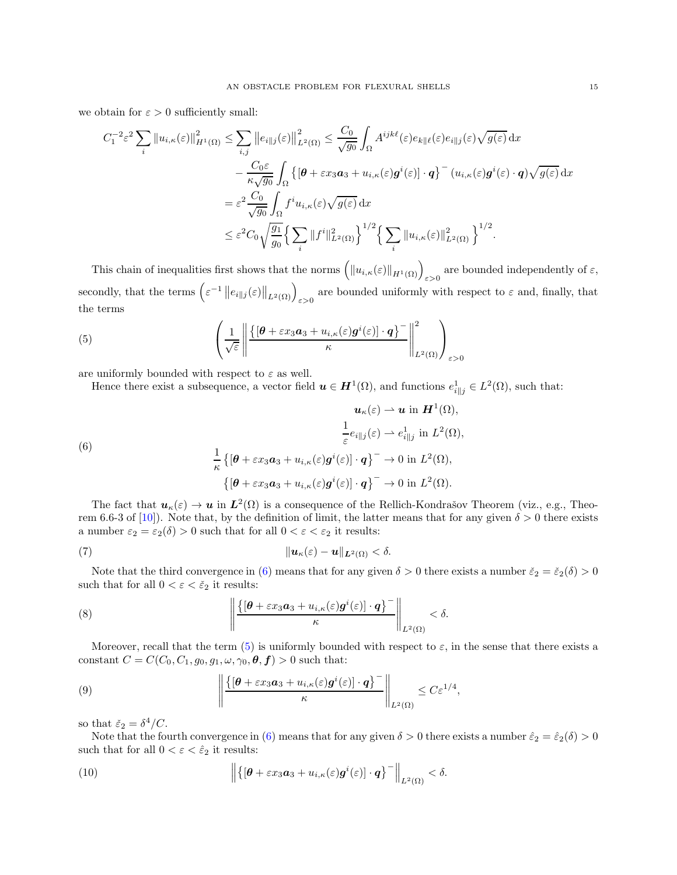we obtain for  $\varepsilon > 0$  sufficiently small:

$$
C_{1}^{-2}\varepsilon^{2}\sum_{i}\left\|u_{i,\kappa}(\varepsilon)\right\|_{H^{1}(\Omega)}^{2}\leq\sum_{i,j}\left\|e_{i\parallel j}(\varepsilon)\right\|_{L^{2}(\Omega)}^{2}\leq\frac{C_{0}}{\sqrt{g_{0}}}\int_{\Omega}A^{ijk\ell}(\varepsilon)e_{k\parallel\ell}(\varepsilon)e_{i\parallel j}(\varepsilon)\sqrt{g(\varepsilon)}\,\mathrm{d}x
$$

$$
-\frac{C_{0}\varepsilon}{\kappa\sqrt{g_{0}}}\int_{\Omega}\left\{\left[\theta+\varepsilon x_{3}a_{3}+u_{i,\kappa}(\varepsilon)\mathbf{g}^{i}(\varepsilon)\right]\cdot\mathbf{q}\right\}^{-}(u_{i,\kappa}(\varepsilon)\mathbf{g}^{i}(\varepsilon)\cdot\mathbf{q})\sqrt{g(\varepsilon)}\,\mathrm{d}x
$$

$$
=\varepsilon^{2}\frac{C_{0}}{\sqrt{g_{0}}}\int_{\Omega}f^{i}u_{i,\kappa}(\varepsilon)\sqrt{g(\varepsilon)}\,\mathrm{d}x
$$

$$
\leq\varepsilon^{2}C_{0}\sqrt{\frac{g_{1}}{g_{0}}}\left\{\sum_{i}\|f^{i}\|_{L^{2}(\Omega)}^{2}\right\}^{1/2}\left\{\sum_{i}\|u_{i,\kappa}(\varepsilon)\|_{L^{2}(\Omega)}^{2}\right\}^{1/2}.
$$

This chain of inequalities first shows that the norms  $(\|u_{i,\kappa}(\varepsilon)\|_{H^1(\Omega)})_{\varepsilon>0}$  are bounded independently of  $\varepsilon$ , secondly, that the terms  $(\epsilon^{-1} || e_{i||j}(\epsilon) ||_{L^2(\Omega)} )_{\epsilon > 0}$  are bounded uniformly with respect to  $\epsilon$  and, finally, that the terms

(5) 
$$
\left(\frac{1}{\sqrt{\varepsilon}}\left\|\frac{\left\{\left[\boldsymbol{\theta}+\varepsilon x_3 \boldsymbol{a}_3+u_{i,\kappa}(\varepsilon)\boldsymbol{g}^i(\varepsilon)\right]\cdot \boldsymbol{q}\right\}^-}{\kappa}\right\|_{L^2(\Omega)}^2\right)_{\varepsilon>0}
$$

are uniformly bounded with respect to  $\varepsilon$  as well.

<span id="page-14-1"></span><span id="page-14-0"></span>Hence there exist a subsequence, a vector field  $u \in H^1(\Omega)$ , and functions  $e_{i||j}^1 \in L^2(\Omega)$ , such that:

(6)  
\n
$$
\mathbf{u}_{\kappa}(\varepsilon) \rightharpoonup \mathbf{u} \text{ in } \mathbf{H}^{1}(\Omega),
$$
\n
$$
\frac{1}{\varepsilon} e_{i||j}(\varepsilon) \rightharpoonup e_{i||j}^{1} \text{ in } L^{2}(\Omega),
$$
\n
$$
\frac{1}{\kappa} \left\{ \left[ \boldsymbol{\theta} + \varepsilon x_{3} \mathbf{a}_{3} + u_{i,\kappa}(\varepsilon) \mathbf{g}^{i}(\varepsilon) \right] \cdot \mathbf{q} \right\}^{-} \rightharpoonup 0 \text{ in } L^{2}(\Omega),
$$
\n
$$
\left\{ \left[ \boldsymbol{\theta} + \varepsilon x_{3} \mathbf{a}_{3} + u_{i,\kappa}(\varepsilon) \mathbf{g}^{i}(\varepsilon) \right] \cdot \mathbf{q} \right\}^{-} \rightharpoonup 0 \text{ in } L^{2}(\Omega).
$$

The fact that  $u_{\kappa}(\varepsilon) \to u$  in  $L^2(\Omega)$  is a consequence of the Rellich-Kondrašov Theorem (viz., e.g., Theo-rem 6.6-3 of [\[10](#page-23-11)]). Note that, by the definition of limit, the latter means that for any given  $\delta > 0$  there exists a number  $\varepsilon_2 = \varepsilon_2(\delta) > 0$  such that for all  $0 < \varepsilon < \varepsilon_2$  it results:

<span id="page-14-2"></span>(7) 
$$
\|\mathbf{u}_{\kappa}(\varepsilon)-\mathbf{u}\|_{\mathbf{L}^2(\Omega)}<\delta.
$$

Note that the third convergence in [\(6\)](#page-14-0) means that for any given  $\delta > 0$  there exists a number  $\check{\varepsilon}_2 = \check{\varepsilon}_2(\delta) > 0$ such that for all  $0 < \varepsilon < \check{\varepsilon}_2$  it results:

(8) 
$$
\left\|\frac{\{[\theta+\varepsilon x_3 a_3+u_{i,\kappa}(\varepsilon)\boldsymbol{g}^i(\varepsilon)]\cdot \boldsymbol{q}\}^{\top}}{\kappa}\right\|_{L^2(\Omega)} < \delta.
$$

Moreover, recall that the term [\(5\)](#page-14-1) is uniformly bounded with respect to  $\varepsilon$ , in the sense that there exists a constant  $C = C(C_0, C_1, g_0, g_1, \omega, \gamma_0, \theta, f) > 0$  such that:

(9) 
$$
\left\| \frac{\{[\theta + \varepsilon x_3 a_3 + u_{i,\kappa}(\varepsilon) \mathbf{g}^i(\varepsilon)] \cdot \mathbf{q}\}^-}{\kappa} \right\|_{L^2(\Omega)} \leq C \varepsilon^{1/4},
$$

so that  $\check{\varepsilon}_2 = \delta^4 / C$ .

Note that the fourth convergence in [\(6\)](#page-14-0) means that for any given  $\delta > 0$  there exists a number  $\hat{\varepsilon}_2 = \hat{\varepsilon}_2(\delta) > 0$ such that for all  $0 < \varepsilon < \hat{\varepsilon}_2$  it results:

(10) 
$$
\left\| \left\{ \left[ \boldsymbol{\theta} + \varepsilon x_3 \boldsymbol{a}_3 + u_{i,\kappa}(\varepsilon) \boldsymbol{g}^i(\varepsilon) \right] \cdot \boldsymbol{q} \right\}^- \right\|_{L^2(\Omega)} < \delta.
$$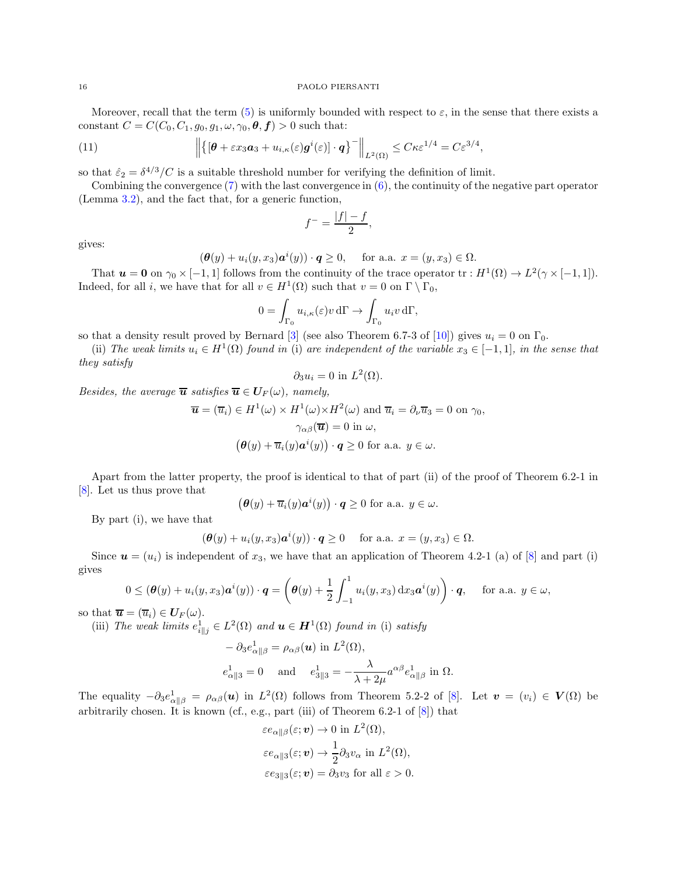Moreover, recall that the term [\(5\)](#page-14-1) is uniformly bounded with respect to  $\varepsilon$ , in the sense that there exists a constant  $C = C(C_0, C_1, g_0, g_1, \omega, \gamma_0, \theta, f) > 0$  such that:

(11) 
$$
\left\| \left\{ \left[ \boldsymbol{\theta} + \varepsilon x_3 \boldsymbol{a}_3 + u_{i,\kappa}(\varepsilon) \boldsymbol{g}^i(\varepsilon) \right] \cdot \boldsymbol{q} \right\}^- \right\|_{L^2(\Omega)} \leq C \kappa \varepsilon^{1/4} = C \varepsilon^{3/4},
$$

so that  $\hat{\varepsilon}_2 = \delta^{4/3}/C$  is a suitable threshold number for verifying the definition of limit.

Combining the convergence  $(7)$  with the last convergence in  $(6)$ , the continuity of the negative part operator (Lemma [3.2\)](#page-7-1), and the fact that, for a generic function,

$$
f^- = \frac{|f| - f}{2},
$$

gives:

$$
(\boldsymbol{\theta}(y) + u_i(y, x_3)\mathbf{a}^i(y)) \cdot \mathbf{q} \ge 0, \quad \text{ for a.a. } x = (y, x_3) \in \Omega.
$$

That  $u = 0$  on  $\gamma_0 \times [-1, 1]$  follows from the continuity of the trace operator  $tr : H^1(\Omega) \to L^2(\gamma \times [-1, 1])$ . Indeed, for all *i*, we have that for all  $v \in H^1(\Omega)$  such that  $v = 0$  on  $\Gamma \setminus \Gamma_0$ ,

$$
0 = \int_{\Gamma_0} u_{i,\kappa}(\varepsilon) v \, d\Gamma \to \int_{\Gamma_0} u_i v \, d\Gamma,
$$

so that a density result proved by Bernard [\[3\]](#page-23-14) (see also Theorem 6.7-3 of [\[10](#page-23-11)]) gives  $u_i = 0$  on  $\Gamma_0$ .

(ii) The weak limits  $u_i \in H^1(\Omega)$  found in (i) are independent of the variable  $x_3 \in [-1,1]$ , in the sense that they satisfy

$$
\partial_3 u_i = 0 \text{ in } L^2(\Omega).
$$

Besides, the average  $\overline{u}$  satisfies  $\overline{u} \in U_F(\omega)$ , namely,

$$
\overline{\mathbf{u}} = (\overline{u}_i) \in H^1(\omega) \times H^1(\omega) \times H^2(\omega) \text{ and } \overline{u}_i = \partial_\nu \overline{u}_3 = 0 \text{ on } \gamma_0,
$$

$$
\gamma_{\alpha\beta}(\overline{\mathbf{u}}) = 0 \text{ in } \omega,
$$

$$
(\theta(y) + \overline{u}_i(y)a^i(y)) \cdot q \ge 0 \text{ for a.a. } y \in \omega.
$$

Apart from the latter property, the proof is identical to that of part (ii) of the proof of Theorem 6.2-1 in [\[8\]](#page-23-9). Let us thus prove that

$$
\left(\boldsymbol{\theta}(y) + \overline{u}_i(y)\boldsymbol{a}^i(y)\right) \cdot \boldsymbol{q} \ge 0 \text{ for a.a. } y \in \omega.
$$

By part (i), we have that

$$
(\boldsymbol{\theta}(y) + u_i(y, x_3) \boldsymbol{a}^i(y)) \cdot \boldsymbol{q} \ge 0 \quad \text{ for a.a. } x = (y, x_3) \in \Omega.
$$

Since  $\mathbf{u} = (u_i)$  is independent of  $x_3$ , we have that an application of Theorem 4.2-1 (a) of [\[8](#page-23-9)] and part (i) gives

$$
0 \leq (\boldsymbol{\theta}(y) + u_i(y, x_3) \boldsymbol{a}^i(y)) \cdot \boldsymbol{q} = \left(\boldsymbol{\theta}(y) + \frac{1}{2} \int_{-1}^1 u_i(y, x_3) \, dx_3 \boldsymbol{a}^i(y)\right) \cdot \boldsymbol{q}, \quad \text{ for a.a. } y \in \omega,
$$

so that  $\overline{\boldsymbol{u}} = (\overline{u}_i) \in \boldsymbol{U}_F(\omega)$ .

(iii) The weak limits  $e_{i||j}^1 \in L^2(\Omega)$  and  $u \in H^1(\Omega)$  found in (i) satisfy

$$
-\partial_3 e^1_{\alpha\beta} = \rho_{\alpha\beta}(\mathbf{u}) \text{ in } L^2(\Omega),
$$
  
\n
$$
e^1_{\alpha\beta} = 0 \quad \text{ and } \quad e^1_{3\beta} = -\frac{\lambda}{\lambda + 2\mu} a^{\alpha\beta} e^1_{\alpha\beta} \text{ in } \Omega.
$$

The equality  $-\partial_3e_{\alpha||\beta}^1 = \rho_{\alpha\beta}(\mathbf{u})$  in  $L^2(\Omega)$  follows from Theorem 5.2-2 of [\[8](#page-23-9)]. Let  $\mathbf{v} = (v_i) \in \mathbf{V}(\Omega)$  be arbitrarily chosen. It is known (cf., e.g., part (iii) of Theorem  $6.2-1$  of  $[8]$  $[8]$ ) that

 $22222222222$ 

$$
\varepsilon e_{\alpha\|\beta}(\varepsilon; \mathbf{v}) \to 0 \text{ in } L^2(\Omega),
$$
  
\n
$$
\varepsilon e_{\alpha\|\beta}(\varepsilon; \mathbf{v}) \to \frac{1}{2} \partial_3 v_\alpha \text{ in } L^2(\Omega),
$$
  
\n
$$
\varepsilon e_{3\|\beta}(\varepsilon; \mathbf{v}) = \partial_3 v_3 \text{ for all } \varepsilon > 0.
$$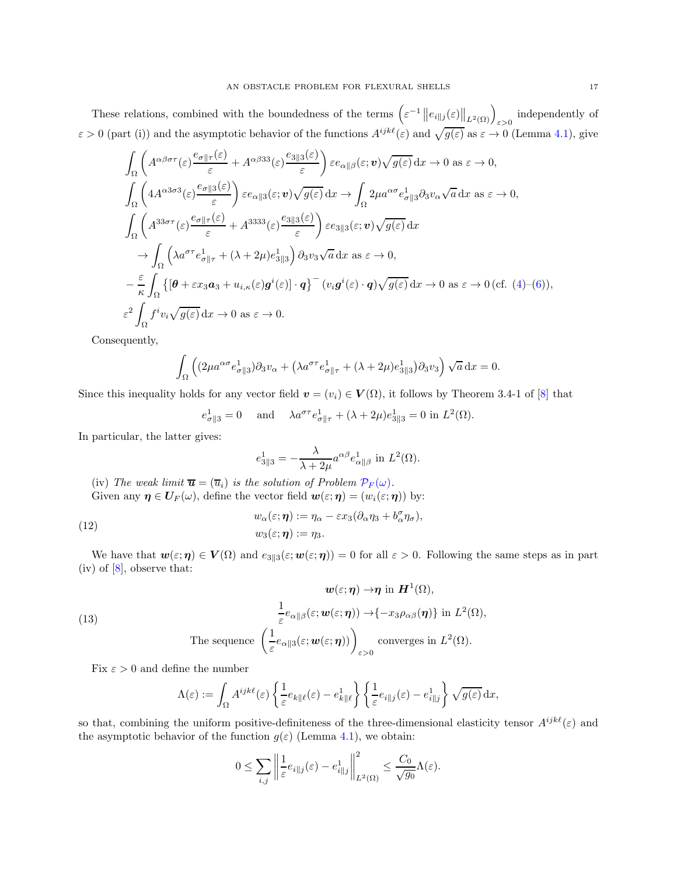These relations, combined with the boundedness of the terms  $(\epsilon^{-1} || e_{i||j}(\epsilon) ||_{L^2(\Omega)})_{\epsilon>0}$  independently of  $\varepsilon > 0$  (part (i)) and the asymptotic behavior of the functions  $A^{ijk\ell}(\varepsilon)$  and  $\sqrt{g(\varepsilon)}$  as  $\varepsilon \to 0$  (Lemma [4.1\)](#page-11-0), give

$$
\int_{\Omega} \left( A^{\alpha\beta\sigma\tau}(\varepsilon) \frac{e_{\sigma\|\tau}(\varepsilon)}{\varepsilon} + A^{\alpha\beta 33}(\varepsilon) \frac{e_{3\|\beta}(\varepsilon)}{\varepsilon} \right) \varepsilon e_{\alpha\|\beta}(\varepsilon; \mathbf{v}) \sqrt{g(\varepsilon)} \,dx \to 0 \text{ as } \varepsilon \to 0,
$$
\n
$$
\int_{\Omega} \left( 4A^{\alpha 3\sigma 3}(\varepsilon) \frac{e_{\sigma\|\beta}(\varepsilon)}{\varepsilon} \right) \varepsilon e_{\alpha\|\beta}(\varepsilon; \mathbf{v}) \sqrt{g(\varepsilon)} \,dx \to \int_{\Omega} 2\mu a^{\alpha\sigma} e_{\sigma\|\beta}^1 \partial 3v_{\alpha} \sqrt{a} \,dx \text{ as } \varepsilon \to 0,
$$
\n
$$
\int_{\Omega} \left( A^{33\sigma\tau}(\varepsilon) \frac{e_{\sigma\|\tau}(\varepsilon)}{\varepsilon} + A^{3333}(\varepsilon) \frac{e_{3\|\beta}(\varepsilon)}{\varepsilon} \right) \varepsilon e_{3\|\beta}(\varepsilon; \mathbf{v}) \sqrt{g(\varepsilon)} \,dx
$$
\n
$$
\to \int_{\Omega} \left( \lambda a^{\sigma\tau} e_{\sigma\|\tau}^1 + (\lambda + 2\mu)e_{3\|\beta}^1 \right) \partial 3v_{3} \sqrt{a} \,dx \text{ as } \varepsilon \to 0,
$$
\n
$$
- \frac{\varepsilon}{\kappa} \int_{\Omega} \left\{ \left[ \theta + \varepsilon x_3 a_3 + u_{i,\kappa}(\varepsilon) g^i(\varepsilon) \right] \cdot q \right\}^-(v_i g^i(\varepsilon) \cdot q) \sqrt{g(\varepsilon)} \,dx \to 0 \text{ as } \varepsilon \to 0 \text{ (cf. (4)-(6))},
$$
\n
$$
\varepsilon^2 \int_{\Omega} f^i v_i \sqrt{g(\varepsilon)} \,dx \to 0 \text{ as } \varepsilon \to 0.
$$

Consequently,

$$
\int_{\Omega} \left( (2\mu a^{\alpha \sigma} e_{\sigma \| 3}^1) \partial_3 v_{\alpha} + (\lambda a^{\sigma \tau} e_{\sigma \| \tau}^1 + (\lambda + 2\mu) e_{3\| 3}^1) \partial_3 v_3 \right) \sqrt{a} \, dx = 0.
$$

Since this inequality holds for any vector field  $\mathbf{v} = (v_i) \in \mathbf{V}(\Omega)$ , it follows by Theorem 3.4-1 of [\[8\]](#page-23-9) that

$$
e_{\sigma \| 3}^1 = 0
$$
 and  $\lambda a^{\sigma \tau} e_{\sigma \| \tau}^1 + (\lambda + 2\mu) e_{3\| 3}^1 = 0$  in  $L^2(\Omega)$ .

In particular, the latter gives:

<span id="page-16-0"></span>
$$
e_{3\parallel 3}^1 = -\frac{\lambda}{\lambda + 2\mu} a^{\alpha \beta} e_{\alpha \parallel \beta}^1
$$
 in  $L^2(\Omega)$ .

(iv) The weak limit  $\overline{\mathbf{u}} = (\overline{u}_i)$  is the solution of Problem  $\mathcal{P}_F(\omega)$ . Given any  $\eta \in U_F(\omega)$ , define the vector field  $\mathbf{w}(\varepsilon;\eta) = (w_i(\varepsilon;\eta))$  by:

(12) 
$$
w_{\alpha}(\varepsilon;\boldsymbol{\eta}) := \eta_{\alpha} - \varepsilon x_{3} (\partial_{\alpha} \eta_{3} + b_{\alpha}^{\sigma} \eta_{\sigma}),
$$

$$
w_{3}(\varepsilon;\boldsymbol{\eta}) := \eta_{3}.
$$

We have that  $w(\varepsilon;\eta) \in V(\Omega)$  and  $e_{3\parallel 3}(\varepsilon; w(\varepsilon;\eta)) = 0$  for all  $\varepsilon > 0$ . Following the same steps as in part  $(iv)$  of  $[8]$ , observe that:

(13)  
\n
$$
\mathbf{w}(\varepsilon;\boldsymbol{\eta}) \to \boldsymbol{\eta} \text{ in } \mathbf{H}^1(\Omega),
$$
\n
$$
\frac{1}{\varepsilon} e_{\alpha\|\beta}(\varepsilon;\mathbf{w}(\varepsilon;\boldsymbol{\eta})) \to \{-x_3\rho_{\alpha\beta}(\boldsymbol{\eta})\} \text{ in } L^2(\Omega),
$$
\nThe sequence 
$$
\left(\frac{1}{\varepsilon} e_{\alpha\|\beta}(\varepsilon;\mathbf{w}(\varepsilon;\boldsymbol{\eta}))\right)_{\varepsilon>0}
$$
 converges in  $L^2(\Omega)$ .

Fix  $\varepsilon > 0$  and define the number

<span id="page-16-1"></span>
$$
\Lambda(\varepsilon) := \int_{\Omega} A^{ijk\ell}(\varepsilon) \left\{ \frac{1}{\varepsilon} e_{k\|\ell}(\varepsilon) - e_{k\|\ell}^1 \right\} \left\{ \frac{1}{\varepsilon} e_{i\|\jmath}(\varepsilon) - e_{i\|\jmath}^1 \right\} \sqrt{g(\varepsilon)} dx,
$$

so that, combining the uniform positive-definiteness of the three-dimensional elasticity tensor  $A^{ijk\ell}(\varepsilon)$  and the asymptotic behavior of the function  $g(\varepsilon)$  (Lemma [4.1\)](#page-11-0), we obtain:

$$
0 \leq \sum_{i,j} \left\| \frac{1}{\varepsilon} e_{i\|j}(\varepsilon) - e_{i\|j}^1 \right\|_{L^2(\Omega)}^2 \leq \frac{C_0}{\sqrt{g_0}} \Lambda(\varepsilon).
$$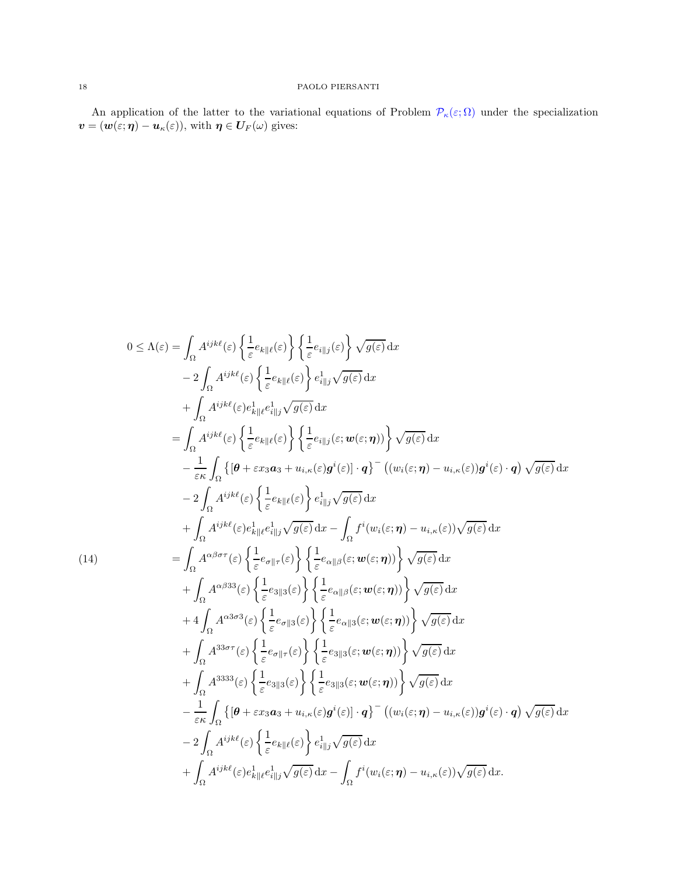An application of the latter to the variational equations of Problem  $\mathcal{P}_{\kappa}(\varepsilon;\Omega)$  under the specialization  $\boldsymbol{v}=(\boldsymbol{w}(\varepsilon;\boldsymbol{\eta})-\boldsymbol{u}_\kappa(\varepsilon)),$  with  $\boldsymbol{\eta}\in \boldsymbol{U}_{\boldsymbol{F}}(\omega)$  gives:

$$
0 \leq \Lambda(\varepsilon) = \int_{\Omega} A^{ijk\ell}(\varepsilon) \left\{ \frac{1}{\varepsilon} e_{k\parallel\ell}(\varepsilon) \right\} \left\{ \frac{1}{\varepsilon} e_{i\parallel j}(\varepsilon) \right\} \sqrt{g(\varepsilon)} \, dx
$$
  
\n
$$
- 2 \int_{\Omega} A^{ijk\ell}(\varepsilon) e_{k\parallel\ell}^{1} e_{i\parallel j}^{1} \sqrt{g(\varepsilon)} \, dx
$$
  
\n
$$
+ \int_{\Omega} A^{ijk\ell}(\varepsilon) e_{k\parallel\ell}^{1} e_{i\parallel j}^{1} \sqrt{g(\varepsilon)} \, dx
$$
  
\n
$$
= \int_{\Omega} A^{ijk\ell}(\varepsilon) e_{k\parallel\ell}^{1} (\varepsilon) \left\{ \frac{1}{\varepsilon} e_{i\parallel j}(\varepsilon; \mathbf{w}(\varepsilon; \boldsymbol{\eta})) \right\} \sqrt{g(\varepsilon)} \, dx
$$
  
\n
$$
- \frac{1}{\varepsilon \kappa} \int_{\Omega} \left\{ [\theta + \varepsilon x_3 a_3 + u_{i,\kappa}(\varepsilon) g^i(\varepsilon)] \cdot q \right\}^-(\left(u_i(\varepsilon; \boldsymbol{\eta}) - u_{i,\kappa}(\varepsilon)\right) g^i(\varepsilon) \cdot q \right) \sqrt{g(\varepsilon)} \, dx
$$
  
\n
$$
- 2 \int_{\Omega} A^{ijk\ell}(\varepsilon) \left\{ \frac{1}{\varepsilon} e_{k\parallel\ell}(\varepsilon) \right\} e_{i\parallel j}^{1} \sqrt{g(\varepsilon)} \, dx
$$
  
\n
$$
+ \int_{\Omega} A^{ijk\ell}(\varepsilon) e_{k\parallel\ell}^{1} e_{i\parallel j}^{1} \sqrt{g(\varepsilon)} \, dx - \int_{\Omega} f^i(u_i(\varepsilon; \boldsymbol{\eta}) - u_{i,\kappa}(\varepsilon)) \sqrt{g(\varepsilon)} \, dx
$$
  
\n
$$
+ \int_{\Omega} A^{\alpha\beta\sigma\tau}(\varepsilon) \left\{ \frac{1}{\varepsilon} e_{\sigma\parallel\tau}(\varepsilon) \right\} \left\{ \frac{1}{\varepsilon} e_{\alpha\parallel\beta}(\vare
$$

<span id="page-17-0"></span>(14)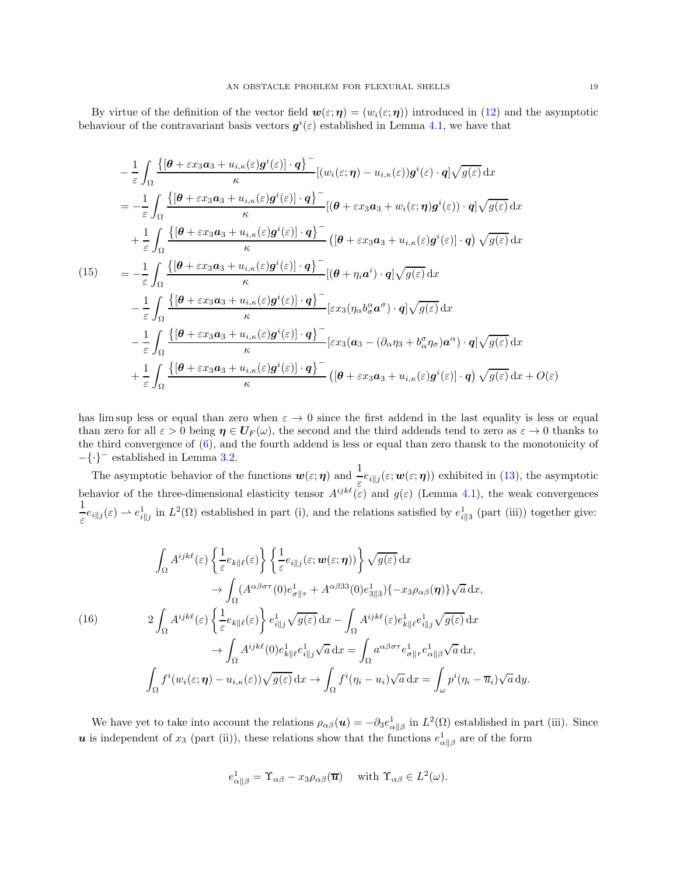By virtue of the definition of the vector field  $w(\varepsilon;\eta) = (w_i(\varepsilon;\eta))$  introduced in [\(12\)](#page-16-0) and the asymptotic behaviour of the contravariant basis vectors  $g^{i}(\varepsilon)$  established in Lemma [4.1,](#page-11-0) we have that

$$
-\frac{1}{\varepsilon} \int_{\Omega} \frac{\left\{ \left[\theta + \varepsilon x_3 a_3 + u_{i,\kappa}(\varepsilon) g^i(\varepsilon)\right] \cdot q \right\}^{\mathsf{T}}}{\kappa} \left[ (w_i(\varepsilon; \eta) - u_{i,\kappa}(\varepsilon)) g^i(\varepsilon) \cdot q \right] \sqrt{g(\varepsilon)} \, \mathrm{d}x
$$
\n
$$
= -\frac{1}{\varepsilon} \int_{\Omega} \frac{\left\{ \left[\theta + \varepsilon x_3 a_3 + u_{i,\kappa}(\varepsilon) g^i(\varepsilon)\right] \cdot q \right\}^{\mathsf{T}}}{\kappa} \left[ (\theta + \varepsilon x_3 a_3 + w_i(\varepsilon; \eta) g^i(\varepsilon)) \cdot q \right] \sqrt{g(\varepsilon)} \, \mathrm{d}x
$$
\n
$$
+ \frac{1}{\varepsilon} \int_{\Omega} \frac{\left\{ \left[\theta + \varepsilon x_3 a_3 + u_{i,\kappa}(\varepsilon) g^i(\varepsilon)\right] \cdot q \right\}^{\mathsf{T}}}{\kappa} \left[ (\theta + \varepsilon x_3 a_3 + u_{i,\kappa}(\varepsilon) g^i(\varepsilon) \right] \cdot q \right) \sqrt{g(\varepsilon)} \, \mathrm{d}x
$$
\n
$$
- \frac{1}{\varepsilon} \int_{\Omega} \frac{\left\{ \left[\theta + \varepsilon x_3 a_3 + u_{i,\kappa}(\varepsilon) g^i(\varepsilon)\right] \cdot q \right\}^{\mathsf{T}}}{\kappa} \left[ \varepsilon x_3 (\eta_\alpha b_\sigma^\alpha a^\sigma) \cdot q \right] \sqrt{g(\varepsilon)} \, \mathrm{d}x
$$
\n
$$
- \frac{1}{\varepsilon} \int_{\Omega} \frac{\left\{ \left[\theta + \varepsilon x_3 a_3 + u_{i,\kappa}(\varepsilon) g^i(\varepsilon)\right] \cdot q \right\}^{\mathsf{T}}}{\kappa} \left[ \varepsilon x_3 (\eta_\alpha b_\sigma^\alpha a^\sigma) \cdot q \right] \sqrt{g(\varepsilon)} \, \mathrm{d}x
$$
\n
$$
+ \frac{1}{\varepsilon} \int_{\Omega} \frac{\left\{ \left[\theta + \varepsilon x_3 a_3 + u_{i,\
$$

has lim sup less or equal than zero when  $\varepsilon \to 0$  since the first addend in the last equality is less or equal than zero for all  $\varepsilon > 0$  being  $\eta \in U_F(\omega)$ , the second and the third addends tend to zero as  $\varepsilon \to 0$  thanks to the third convergence of [\(6\)](#page-14-0), and the fourth addend is less or equal than zero thansk to the monotonicity of −{·}<sup>−</sup> established in Lemma [3.2.](#page-7-1)

The asymptotic behavior of the functions  $w(\varepsilon;\eta)$  and  $\frac{1}{\varepsilon}e_{i\|j}(\varepsilon;w(\varepsilon;\eta))$  exhibited in [\(13\)](#page-16-1), the asymptotic behavior of the three-dimensional elasticity tensor  $A^{ijk\ell}(\varepsilon)$  and  $g(\varepsilon)$  (Lemma [4.1\)](#page-11-0), the weak convergences 1  $\frac{1}{\varepsilon}e_{i||j}(\varepsilon) \to e_{i||j}^1$  in  $L^2(\Omega)$  established in part (i), and the relations satisfied by  $e_{i||3}^1$  (part (iii)) together give:

<span id="page-18-0"></span>
$$
\int_{\Omega} A^{ijk\ell}(\varepsilon) \left\{ \frac{1}{\varepsilon} e_{k\|\ell}(\varepsilon) \right\} \left\{ \frac{1}{\varepsilon} e_{i\|\jmath}(\varepsilon; \mathbf{w}(\varepsilon; \boldsymbol{\eta})) \right\} \sqrt{g(\varepsilon)} \, dx
$$
\n
$$
\to \int_{\Omega} (A^{\alpha\beta\sigma\tau}(0) e_{\sigma\|\tau}^1 + A^{\alpha\beta 33}(0) e_{3\|\beta}^1) \{-x_3 \rho_{\alpha\beta}(\boldsymbol{\eta})\} \sqrt{a} \, dx,
$$
\n(16)\n
$$
2 \int_{\Omega} A^{ijk\ell}(\varepsilon) \left\{ \frac{1}{\varepsilon} e_{k\|\ell}(\varepsilon) \right\} e_{i\|\jmath}^1 \sqrt{g(\varepsilon)} \, dx - \int_{\Omega} A^{ijk\ell}(\varepsilon) e_{k\|\ell}^1 e_{i\|\jmath}^1 \sqrt{g(\varepsilon)} \, dx
$$
\n
$$
\to \int_{\Omega} A^{ijk\ell}(0) e_{k\|\ell}^1 e_{i\|\jmath}^1 \sqrt{a} \, dx = \int_{\Omega} a^{\alpha\beta\sigma\tau} e_{\sigma\|\tau}^1 e_{\alpha\|\beta}^1 \sqrt{a} \, dx,
$$
\n
$$
\int_{\Omega} f^i(w_i(\varepsilon; \boldsymbol{\eta}) - u_{i,\kappa}(\varepsilon)) \sqrt{g(\varepsilon)} \, dx \to \int_{\Omega} f^i(\eta_i - u_i) \sqrt{a} \, dx = \int_{\omega} p^i(\eta_i - \overline{u}_i) \sqrt{a} \, dy.
$$

We have yet to take into account the relations  $\rho_{\alpha\beta}(\mathbf{u}) = -\partial_3 e_{\alpha\beta}^1$  in  $L^2(\Omega)$  established in part (iii). Since u is independent of  $x_3$  (part (ii)), these relations show that the functions  $e^1_{\alpha \| \beta}$  are of the form

$$
e_{\alpha||\beta}^1 = \Upsilon_{\alpha\beta} - x_3 \rho_{\alpha\beta}(\overline{\boldsymbol{u}}) \quad \text{ with } \Upsilon_{\alpha\beta} \in L^2(\omega).
$$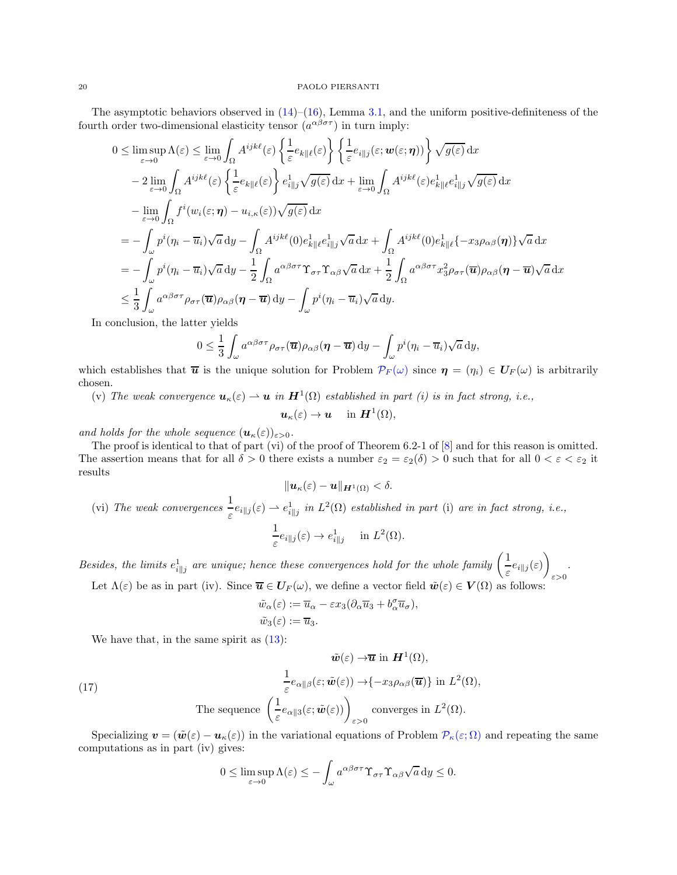The asymptotic behaviors observed in  $(14)$ – $(16)$ , Lemma [3.1,](#page-6-2) and the uniform positive-definiteness of the fourth order two-dimensional elasticity tensor  $(a^{\alpha\beta\sigma\tau})$  in turn imply:

$$
0 \leq \limsup_{\varepsilon \to 0} \Lambda(\varepsilon) \leq \lim_{\varepsilon \to 0} \int_{\Omega} A^{ijk\ell}(\varepsilon) \left\{ \frac{1}{\varepsilon} e_{k\|\ell}(\varepsilon) \right\} \left\{ \frac{1}{\varepsilon} e_{i\|\jmath}(\varepsilon; \mathbf{w}(\varepsilon; \boldsymbol{\eta})) \right\} \sqrt{g(\varepsilon)} \, dx
$$
  
\n
$$
- 2 \lim_{\varepsilon \to 0} \int_{\Omega} A^{ijk\ell}(\varepsilon) \left\{ \frac{1}{\varepsilon} e_{k\|\ell}(\varepsilon) \right\} e_{i\|\jmath}^1 \sqrt{g(\varepsilon)} \, dx + \lim_{\varepsilon \to 0} \int_{\Omega} A^{ijk\ell}(\varepsilon) e_{k\|\ell}^1 e_{i\|\jmath}^1 \sqrt{g(\varepsilon)} \, dx
$$
  
\n
$$
- \lim_{\varepsilon \to 0} \int_{\Omega} f^i(w_i(\varepsilon; \boldsymbol{\eta}) - u_{i,\kappa}(\varepsilon)) \sqrt{g(\varepsilon)} \, dx
$$
  
\n
$$
= - \int_{\omega} p^i(\eta_i - \overline{u}_i) \sqrt{a} \, dy - \int_{\Omega} A^{ijk\ell}(0) e_{k\|\ell}^1 e_{i\|\jmath}^1 \sqrt{a} \, dx + \int_{\Omega} A^{ijk\ell}(0) e_{k\|\ell}^1 (-x_3 \rho_{\alpha\beta}(\boldsymbol{\eta})) \sqrt{a} \, dx
$$
  
\n
$$
= - \int_{\omega} p^i(\eta_i - \overline{u}_i) \sqrt{a} \, dy - \frac{1}{2} \int_{\Omega} a^{\alpha\beta\sigma\tau} \Upsilon_{\sigma\tau} \Upsilon_{\alpha\beta} \sqrt{a} \, dx + \frac{1}{2} \int_{\Omega} a^{\alpha\beta\sigma\tau} x_3^2 \rho_{\sigma\tau}(\overline{u}) \rho_{\alpha\beta}(\boldsymbol{\eta} - \overline{u}) \sqrt{a} \, dx
$$
  
\n
$$
\leq \frac{1}{3} \int_{\omega} a^{\alpha\beta\sigma\tau} \rho_{\sigma\tau}(\overline{u}) \rho_{\alpha\beta}(\boldsymbol{\eta} - \overline{u}) \, dy - \int_{\omega
$$

In conclusion, the latter yields

$$
0 \leq \frac{1}{3} \int_{\omega} a^{\alpha \beta \sigma \tau} \rho_{\sigma \tau}(\overline{\boldsymbol{u}}) \rho_{\alpha \beta}(\boldsymbol{\eta} - \overline{\boldsymbol{u}}) \, dy - \int_{\omega} p^{i} (\eta_{i} - \overline{u}_{i}) \sqrt{a} \, dy,
$$

which establishes that  $\bar{u}$  is the unique solution for Problem  $\mathcal{P}_F(\omega)$  since  $\eta = (\eta_i) \in U_F(\omega)$  is arbitrarily chosen.

(v) The weak convergence  $u_{\kappa}(\varepsilon) \to u$  in  $H^1(\Omega)$  established in part (i) is in fact strong, i.e.,

$$
\boldsymbol{u}_{\kappa}(\varepsilon)\to\boldsymbol{u}\quad\text{ in }\boldsymbol{H}^1(\Omega),
$$

and holds for the whole sequence  $(\mathbf{u}_{\kappa}(\varepsilon))_{\varepsilon>0}$ .

The proof is identical to that of part (vi) of the proof of Theorem 6.2-1 of [\[8](#page-23-9)] and for this reason is omitted. The assertion means that for all  $\delta > 0$  there exists a number  $\varepsilon_2 = \varepsilon_2(\delta) > 0$  such that for all  $0 < \varepsilon < \varepsilon_2$  it results

$$
\|\boldsymbol{u}_{\kappa}(\varepsilon)-\boldsymbol{u}\|_{\boldsymbol{H}^1(\Omega)}<\delta.
$$

(vi) The weak convergences 
$$
\frac{1}{\varepsilon} e_{i||j}(\varepsilon) \to e_{i||j}^1
$$
 in  $L^2(\Omega)$  established in part (i) are in fact strong, i.e.,  

$$
\frac{1}{\varepsilon} e_{i||j}(\varepsilon) \to e_{i||j}^1
$$
 in  $L^2(\Omega)$ .

Besides, the limits  $e_{i||j}^1$  are unique; hence these convergences hold for the whole family  $\left(\frac{1}{\varepsilon}\right)$  $\frac{1}{\varepsilon}e_{i\parallel j}(\varepsilon)\bigg)$ ε>0 . Let  $\Lambda(\varepsilon)$  be as in part (iv). Since  $\overline{u} \in U_F(\omega)$ , we define a vector field  $\tilde{w}(\varepsilon) \in V(\Omega)$  as follows:

$$
\tilde{w}_{\alpha}(\varepsilon) := \overline{u}_{\alpha} - \varepsilon x_3 (\partial_{\alpha} \overline{u}_3 + b_{\alpha}^{\sigma} \overline{u}_{\sigma}),
$$
  

$$
\tilde{w}_3(\varepsilon) := \overline{u}_3.
$$

We have that, in the same spirit as  $(13)$ :

(17) 
$$
\tilde{\boldsymbol{w}}(\varepsilon) \to \overline{\boldsymbol{u}} \text{ in } \boldsymbol{H}^1(\Omega),
$$
\n
$$
\frac{1}{\varepsilon} e_{\alpha \|\beta}(\varepsilon; \tilde{\boldsymbol{w}}(\varepsilon)) \to \{-x_3 \rho_{\alpha \beta}(\overline{\boldsymbol{u}})\} \text{ in } L^2(\Omega),
$$
\nThe sequence 
$$
\left(\frac{1}{\varepsilon} e_{\alpha \|\beta}(\varepsilon; \tilde{\boldsymbol{w}}(\varepsilon))\right)_{\varepsilon > 0} \text{ converges in } L^2(\Omega).
$$

Specializing  $\mathbf{v} = (\tilde{\mathbf{w}}(\varepsilon) - \mathbf{u}_{\kappa}(\varepsilon))$  in the variational equations of Problem  $\mathcal{P}_{\kappa}(\varepsilon;\Omega)$  and repeating the same computations as in part (iv) gives:

<span id="page-19-0"></span>
$$
0 \leq \limsup_{\varepsilon \to 0} \Lambda(\varepsilon) \leq -\int_{\omega} a^{\alpha \beta \sigma \tau} \Upsilon_{\sigma \tau} \Upsilon_{\alpha \beta} \sqrt{a} \, \mathrm{d}y \leq 0.
$$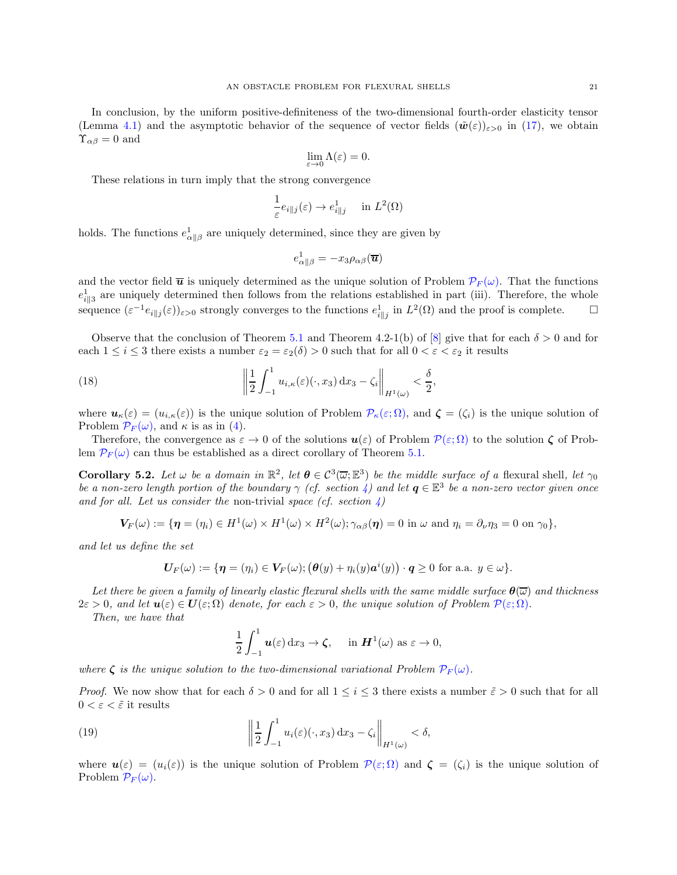In conclusion, by the uniform positive-definiteness of the two-dimensional fourth-order elasticity tensor (Lemma [4.1\)](#page-11-0) and the asymptotic behavior of the sequence of vector fields  $(\tilde{\boldsymbol{w}}(\varepsilon))_{\varepsilon>0}$  in [\(17\)](#page-19-0), we obtain  $\Upsilon_{\alpha\beta} = 0$  and

$$
\lim_{\varepsilon \to 0} \Lambda(\varepsilon) = 0.
$$

These relations in turn imply that the strong convergence

$$
\frac{1}{\varepsilon}e_{i\|j}(\varepsilon) \to e_{i\|j}^1 \quad \text{ in } L^2(\Omega)
$$

holds. The functions  $e_{\alpha||\beta}^1$  are uniquely determined, since they are given by

<span id="page-20-1"></span>
$$
e_{\alpha\parallel\beta}^1=-x_3\rho_{\alpha\beta}(\overline{\bm{u}})
$$

and the vector field  $\bar{u}$  is uniquely determined as the unique solution of Problem  $\mathcal{P}_F(\omega)$ . That the functions  $e_{i\parallel 3}^1$  are uniquely determined then follows from the relations established in part (iii). Therefore, the whole sequence  $(\varepsilon^{-1} e_{i\parallel j}(\varepsilon))_{\varepsilon>0}$  strongly converges to the functions  $e_{i\parallel j}^1$  in  $L^2(\Omega)$  and the proof is complete.  $\Box$ 

Observe that the conclusion of Theorem [5.1](#page-13-0) and Theorem 4.2-1(b) of [\[8\]](#page-23-9) give that for each  $\delta > 0$  and for each  $1 \leq i \leq 3$  there exists a number  $\varepsilon_2 = \varepsilon_2(\delta) > 0$  such that for all  $0 < \varepsilon < \varepsilon_2$  it results

(18) 
$$
\left\| \frac{1}{2} \int_{-1}^{1} u_{i,\kappa}(\varepsilon)(\cdot, x_3) dx_3 - \zeta_i \right\|_{H^1(\omega)} < \frac{\delta}{2},
$$

where  $u_{\kappa}(\varepsilon) = (u_{i,\kappa}(\varepsilon))$  is the unique solution of Problem  $\mathcal{P}_{\kappa}(\varepsilon;\Omega)$ , and  $\zeta = (\zeta_i)$  is the unique solution of Problem  $\mathcal{P}_F(\omega)$ , and  $\kappa$  is as in [\(4\)](#page-10-3).

Therefore, the convergence as  $\varepsilon \to 0$  of the solutions  $u(\varepsilon)$  of Problem  $\mathcal{P}(\varepsilon;\Omega)$  to the solution  $\zeta$  of Problem  $\mathcal{P}_F(\omega)$  can thus be established as a direct corollary of Theorem [5.1.](#page-13-0)

<span id="page-20-2"></span>**Corollary 5.2.** Let  $\omega$  be a domain in  $\mathbb{R}^2$ , let  $\boldsymbol{\theta} \in C^3(\overline{\omega}; \mathbb{E}^3)$  be the middle surface of a flexural shell, let  $\gamma_0$ be a non-zero length portion of the boundary  $\gamma$  (cf. section [4\)](#page-9-0) and let  $\bm{q} \in \mathbb{E}^3$  be a non-zero vector given once and for all. Let us consider the non-trivial space (cf. section  $\lambda$ )

$$
\boldsymbol{V_F}(\omega) := \{ \boldsymbol{\eta} = (\eta_i) \in H^1(\omega) \times H^1(\omega) \times H^2(\omega); \gamma_{\alpha\beta}(\boldsymbol{\eta}) = 0 \text{ in } \omega \text{ and } \eta_i = \partial_\nu \eta_3 = 0 \text{ on } \gamma_0 \},
$$

and let us define the set

$$
\boldsymbol{U}_F(\omega) := \{ \boldsymbol{\eta} = (\eta_i) \in \boldsymbol{V}_F(\omega); \big(\boldsymbol{\theta}(y) + \eta_i(y) \boldsymbol{a}^i(y)\big) \cdot \boldsymbol{q} \ge 0 \text{ for a.a. } y \in \omega \}.
$$

Let there be given a family of linearly elastic flexural shells with the same middle surface  $\theta(\overline{\omega})$  and thickness  $2\varepsilon > 0$ , and let  $u(\varepsilon) \in U(\varepsilon; \Omega)$  denote, for each  $\varepsilon > 0$ , the unique solution of Problem  $\mathcal{P}(\varepsilon; \Omega)$ .

Then, we have that

<span id="page-20-0"></span>
$$
\frac{1}{2}\int_{-1}^1 \mathbf{u}(\varepsilon) \,dx_3 \to \zeta, \quad \text{ in } \mathbf{H}^1(\omega) \text{ as } \varepsilon \to 0,
$$

where  $\zeta$  is the unique solution to the two-dimensional variational Problem  $\mathcal{P}_F(\omega)$ .

*Proof.* We now show that for each  $\delta > 0$  and for all  $1 \leq i \leq 3$  there exists a number  $\tilde{\varepsilon} > 0$  such that for all  $0 < \varepsilon < \tilde{\varepsilon}$  it results

(19) 
$$
\left\|\frac{1}{2}\int_{-1}^1 u_i(\varepsilon)(\cdot,x_3)\,\mathrm{d}x_3-\zeta_i\right\|_{H^1(\omega)}<\delta,
$$

where  $u(\varepsilon) = (u_i(\varepsilon))$  is the unique solution of Problem  $\mathcal{P}(\varepsilon;\Omega)$  and  $\zeta = (\zeta_i)$  is the unique solution of Problem  $\mathcal{P}_F(\omega)$ .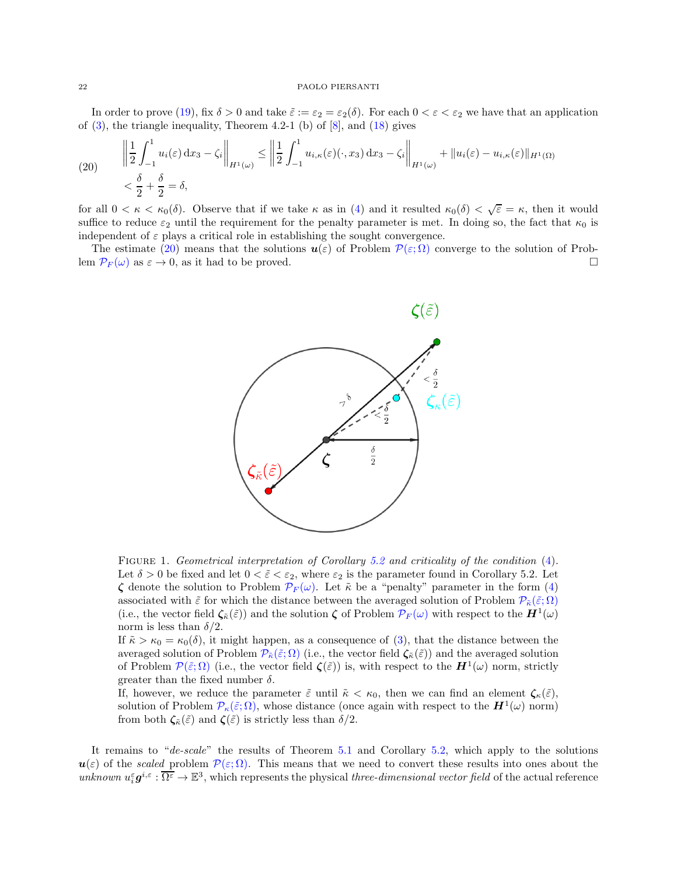In order to prove [\(19\)](#page-20-0), fix  $\delta > 0$  and take  $\tilde{\varepsilon} := \varepsilon_2 = \varepsilon_2(\delta)$ . For each  $0 < \varepsilon < \varepsilon_2$  we have that an application of  $(3)$ , the triangle inequality, Theorem 4.2-1  $(b)$  of  $[8]$ , and  $(18)$  gives

<span id="page-21-0"></span>(20) 
$$
\left\| \frac{1}{2} \int_{-1}^{1} u_i(\varepsilon) dx_3 - \zeta_i \right\|_{H^1(\omega)} \le \left\| \frac{1}{2} \int_{-1}^{1} u_{i,\kappa}(\varepsilon) (\cdot, x_3) dx_3 - \zeta_i \right\|_{H^1(\omega)} + \|u_i(\varepsilon) - u_{i,\kappa}(\varepsilon)\|_{H^1(\Omega)}
$$

$$
< \frac{\delta}{2} + \frac{\delta}{2} = \delta,
$$

for all  $0 < \kappa < \kappa_0(\delta)$ . Observe that if we take  $\kappa$  as in [\(4\)](#page-10-3) and it resulted  $\kappa_0(\delta) < \sqrt{\varepsilon} = \kappa$ , then it would suffice to reduce  $\varepsilon_2$  until the requirement for the penalty parameter is met. In doing so, the fact that  $\kappa_0$  is independent of  $\varepsilon$  plays a critical role in establishing the sought convergence.

The estimate [\(20\)](#page-21-0) means that the solutions  $u(\varepsilon)$  of Problem  $\mathcal{P}(\varepsilon; \Omega)$  converge to the solution of Prob-<br>n  $\mathcal{P}_F(\omega)$  as  $\varepsilon \to 0$ , as it had to be proved. lem  $\mathcal{P}_F(\omega)$  as  $\varepsilon \to 0$ , as it had to be proved.



FIGURE 1. Geometrical interpretation of Corollary [5.2](#page-20-2) and criticality of the condition [\(4\)](#page-10-3). Let  $\delta > 0$  be fixed and let  $0 < \tilde{\varepsilon} < \varepsilon_2$ , where  $\varepsilon_2$  is the parameter found in Corollary 5.2. Let  $\zeta$  denote the solution to Problem  $\mathcal{P}_F(\omega)$ . Let  $\tilde{\kappa}$  be a "penalty" parameter in the form [\(4\)](#page-10-3) associated with  $\tilde{\varepsilon}$  for which the distance between the averaged solution of Problem  $\mathcal{P}_{\tilde{\kappa}}(\tilde{\varepsilon};\Omega)$ (i.e., the vector field  $\zeta_{\tilde{\kappa}}(\tilde{\varepsilon})$ ) and the solution  $\zeta$  of Problem  $\mathcal{P}_F(\omega)$  with respect to the  $\mathbf{H}^1(\omega)$ norm is less than  $\delta/2$ .

If  $\tilde{\kappa} > \kappa_0 = \kappa_0(\delta)$ , it might happen, as a consequence of [\(3\)](#page-10-4), that the distance between the averaged solution of Problem  $\mathcal{P}_{\tilde{\kappa}}(\tilde{\varepsilon};\Omega)$  (i.e., the vector field  $\zeta_{\tilde{\kappa}}(\tilde{\varepsilon})$ ) and the averaged solution of Problem  $\mathcal{P}(\tilde{\varepsilon};\Omega)$  (i.e., the vector field  $\zeta(\tilde{\varepsilon})$ ) is, with respect to the  $H^1(\omega)$  norm, strictly greater than the fixed number  $\delta$ .

If, however, we reduce the parameter  $\tilde{\varepsilon}$  until  $\tilde{\kappa} < \kappa_0$ , then we can find an element  $\zeta_{\kappa}(\tilde{\varepsilon})$ , solution of Problem  $\mathcal{P}_{\kappa}(\tilde{\varepsilon};\Omega)$ , whose distance (once again with respect to the  $\mathbf{H}^{1}(\omega)$  norm) from both  $\zeta_{\tilde{\kappa}}(\tilde{\varepsilon})$  and  $\zeta(\tilde{\varepsilon})$  is strictly less than  $\delta/2$ .

It remains to "de-scale" the results of Theorem [5.1](#page-13-0) and Corollary [5.2,](#page-20-2) which apply to the solutions  $u(\varepsilon)$  of the scaled problem  $\mathcal{P}(\varepsilon;\Omega)$ . This means that we need to convert these results into ones about the unknown  $u_i^{\varepsilon} g^{i,\varepsilon} : \overline{\Omega^{\varepsilon}} \to \mathbb{E}^3$ , which represents the physical *three-dimensional vector field* of the actual reference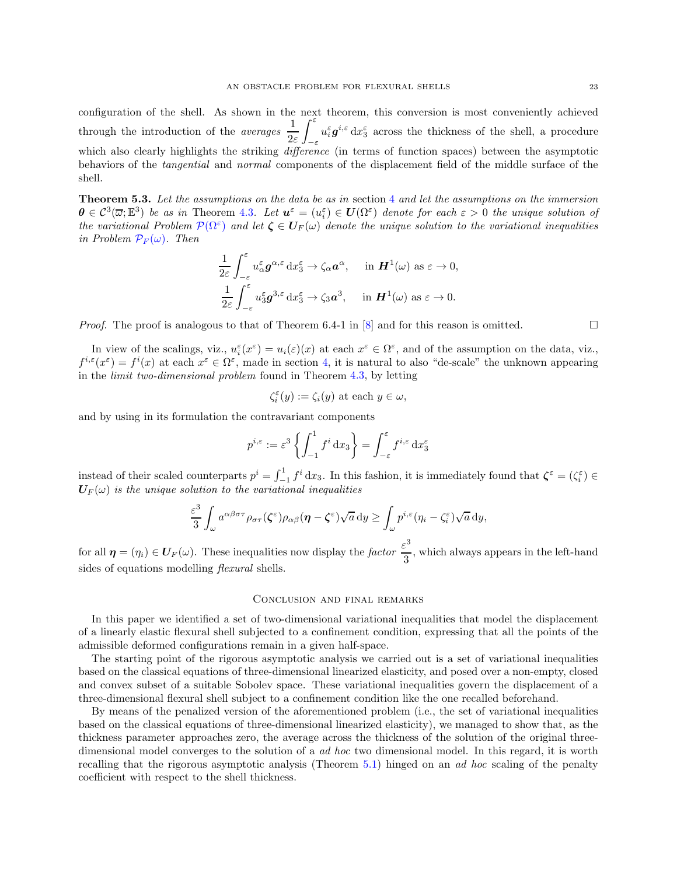configuration of the shell. As shown in the next theorem, this conversion is most conveniently achieved through the introduction of the *averages*  $\frac{1}{2}$ 2ε  $\int_{0}^{\varepsilon}$ −ε  $u_i^{\varepsilon} \boldsymbol{g}^{i,\varepsilon} \, dx_3^{\varepsilon}$  across the thickness of the shell, a procedure which also clearly highlights the striking *difference* (in terms of function spaces) between the asymptotic behaviors of the tangential and normal components of the displacement field of the middle surface of the shell.

Theorem 5.3. Let the assumptions on the data be as in section [4](#page-9-0) and let the assumptions on the immersion  $\boldsymbol{\theta} \in C^3(\overline{\omega}; \mathbb{E}^3)$  be as in Theorem [4.3](#page-12-2). Let  $\boldsymbol{u}^{\varepsilon} = (u_i^{\varepsilon}) \in \boldsymbol{U}(\Omega^{\varepsilon})$  denote for each  $\varepsilon > 0$  the unique solution of the variational Problem  $\mathcal{P}(\Omega^{\varepsilon})$  and let  $\zeta \in \mathbf{U}_{F}(\omega)$  denote the unique solution to the variational inequalities in Problem  $\mathcal{P}_F(\omega)$ . Then

$$
\frac{1}{2\varepsilon} \int_{-\varepsilon}^{\varepsilon} u_{\alpha}^{\varepsilon} g^{\alpha, \varepsilon} dx_3^{\varepsilon} \to \zeta_{\alpha} a^{\alpha}, \quad \text{ in } \mathbf{H}^1(\omega) \text{ as } \varepsilon \to 0,
$$
  

$$
\frac{1}{2\varepsilon} \int_{-\varepsilon}^{\varepsilon} u_3^{\varepsilon} g^{3, \varepsilon} dx_3^{\varepsilon} \to \zeta_3 a^3, \quad \text{ in } \mathbf{H}^1(\omega) \text{ as } \varepsilon \to 0.
$$

*Proof.* The proof is analogous to that of Theorem 6.4-1 in  $[8]$  and for this reason is omitted.

In view of the scalings, viz.,  $u_i^{\varepsilon}(x^{\varepsilon}) = u_i(\varepsilon)(x)$  at each  $x^{\varepsilon} \in \Omega^{\varepsilon}$ , and of the assumption on the data, viz.,  $f^{i,\varepsilon}(x^{\varepsilon}) = f^{i}(x)$  at each  $x^{\varepsilon} \in \Omega^{\varepsilon}$ , made in section [4,](#page-9-0) it is natural to also "de-scale" the unknown appearing in the limit two-dimensional problem found in Theorem [4.3,](#page-12-2) by letting

$$
\zeta_i^{\varepsilon}(y):=\zeta_i(y)\text{ at each }y\in\omega,
$$

and by using in its formulation the contravariant components

$$
p^{i,\varepsilon} := \varepsilon^3 \left\{ \int_{-1}^1 f^i \, \mathrm{d}x_3 \right\} = \int_{-\varepsilon}^{\varepsilon} f^{i,\varepsilon} \, \mathrm{d}x_3^{\varepsilon}
$$

instead of their scaled counterparts  $p^i = \int_{-1}^1 f^i dx_3$ . In this fashion, it is immediately found that  $\zeta^{\varepsilon} = (\zeta_i^{\varepsilon}) \in$  $U_F(\omega)$  is the unique solution to the variational inequalities

$$
\frac{\varepsilon^3}{3} \int_{\omega} a^{\alpha\beta\sigma\tau} \rho_{\sigma\tau}(\zeta^{\varepsilon}) \rho_{\alpha\beta}(\boldsymbol{\eta} - \zeta^{\varepsilon}) \sqrt{a} \, \mathrm{d}y \ge \int_{\omega} p^{i,\varepsilon} (\eta_i - \zeta_i^{\varepsilon}) \sqrt{a} \, \mathrm{d}y,
$$

for all  $\eta = (\eta_i) \in U_F(\omega)$ . These inequalities now display the factor  $\frac{\varepsilon^3}{3}$  $\frac{1}{3}$ , which always appears in the left-hand sides of equations modelling *flexural* shells.

### Conclusion and final remarks

In this paper we identified a set of two-dimensional variational inequalities that model the displacement of a linearly elastic flexural shell subjected to a confinement condition, expressing that all the points of the admissible deformed configurations remain in a given half-space.

The starting point of the rigorous asymptotic analysis we carried out is a set of variational inequalities based on the classical equations of three-dimensional linearized elasticity, and posed over a non-empty, closed and convex subset of a suitable Sobolev space. These variational inequalities govern the displacement of a three-dimensional flexural shell subject to a confinement condition like the one recalled beforehand.

By means of the penalized version of the aforementioned problem (i.e., the set of variational inequalities based on the classical equations of three-dimensional linearized elasticity), we managed to show that, as the thickness parameter approaches zero, the average across the thickness of the solution of the original threedimensional model converges to the solution of a *ad hoc* two dimensional model. In this regard, it is worth recalling that the rigorous asymptotic analysis (Theorem [5.1\)](#page-13-0) hinged on an ad hoc scaling of the penalty coefficient with respect to the shell thickness.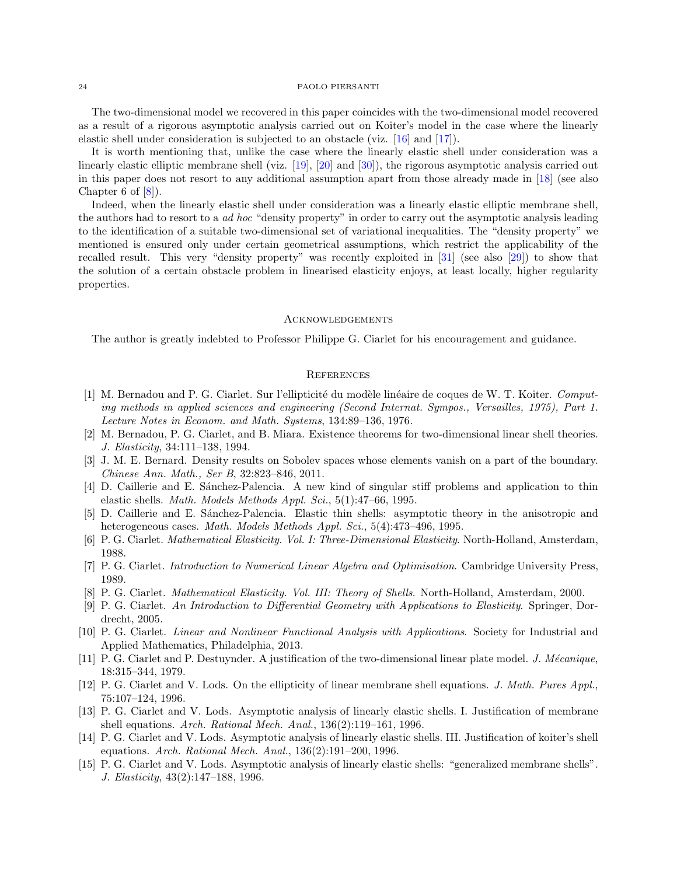The two-dimensional model we recovered in this paper coincides with the two-dimensional model recovered as a result of a rigorous asymptotic analysis carried out on Koiter's model in the case where the linearly elastic shell under consideration is subjected to an obstacle (viz. [\[16\]](#page-24-7) and [\[17\]](#page-24-8)).

It is worth mentioning that, unlike the case where the linearly elastic shell under consideration was a linearly elastic elliptic membrane shell (viz. [\[19](#page-24-9)], [\[20\]](#page-24-10) and [\[30\]](#page-24-20)), the rigorous asymptotic analysis carried out in this paper does not resort to any additional assumption apart from those already made in [\[18\]](#page-24-3) (see also Chapter 6 of  $|8|$ ).

Indeed, when the linearly elastic shell under consideration was a linearly elastic elliptic membrane shell, the authors had to resort to a *ad hoc* "density property" in order to carry out the asymptotic analysis leading to the identification of a suitable two-dimensional set of variational inequalities. The "density property" we mentioned is ensured only under certain geometrical assumptions, which restrict the applicability of the recalled result. This very "density property" was recently exploited in [\[31](#page-24-21)] (see also [\[29\]](#page-24-22)) to show that the solution of a certain obstacle problem in linearised elasticity enjoys, at least locally, higher regularity properties.

### Acknowledgements

The author is greatly indebted to Professor Philippe G. Ciarlet for his encouragement and guidance.

# **REFERENCES**

- <span id="page-23-12"></span>[1] M. Bernadou and P. G. Ciarlet. Sur l'ellipticité du modèle linéaire de coques de W. T. Koiter. Computing methods in applied sciences and engineering (Second Internat. Sympos., Versailles, 1975), Part 1. Lecture Notes in Econom. and Math. Systems, 134:89–136, 1976.
- <span id="page-23-13"></span>[2] M. Bernadou, P. G. Ciarlet, and B. Miara. Existence theorems for two-dimensional linear shell theories. J. Elasticity, 34:111–138, 1994.
- <span id="page-23-14"></span>[3] J. M. E. Bernard. Density results on Sobolev spaces whose elements vanish on a part of the boundary. Chinese Ann. Math., Ser B, 32:823–846, 2011.
- <span id="page-23-1"></span>[4] D. Caillerie and E. Sánchez-Palencia. A new kind of singular stiff problems and application to thin elastic shells. *Math. Models Methods Appl. Sci.*,  $5(1):47-66$ , 1995.
- <span id="page-23-2"></span>[5] D. Caillerie and E. Sánchez-Palencia. Elastic thin shells: asymptotic theory in the anisotropic and heterogeneous cases. Math. Models Methods Appl. Sci., 5(4):473-496, 1995.
- <span id="page-23-0"></span>[6] P. G. Ciarlet. Mathematical Elasticity. Vol. I: Three-Dimensional Elasticity. North-Holland, Amsterdam, 1988.
- <span id="page-23-8"></span>[7] P. G. Ciarlet. Introduction to Numerical Linear Algebra and Optimisation. Cambridge University Press, 1989.
- <span id="page-23-9"></span>[8] P. G. Ciarlet. Mathematical Elasticity. Vol. III: Theory of Shells. North-Holland, Amsterdam, 2000.
- <span id="page-23-10"></span>[9] P. G. Ciarlet. An Introduction to Differential Geometry with Applications to Elasticity. Springer, Dordrecht, 2005.
- <span id="page-23-11"></span>[10] P. G. Ciarlet. Linear and Nonlinear Functional Analysis with Applications. Society for Industrial and Applied Mathematics, Philadelphia, 2013.
- <span id="page-23-3"></span>[11] P. G. Ciarlet and P. Destuynder. A justification of the two-dimensional linear plate model. J. Mécanique, 18:315–344, 1979.
- <span id="page-23-4"></span>[12] P. G. Ciarlet and V. Lods. On the ellipticity of linear membrane shell equations. J. Math. Pures Appl., 75:107–124, 1996.
- <span id="page-23-5"></span>[13] P. G. Ciarlet and V. Lods. Asymptotic analysis of linearly elastic shells. I. Justification of membrane shell equations. Arch. Rational Mech. Anal., 136(2):119–161, 1996.
- <span id="page-23-6"></span>[14] P. G. Ciarlet and V. Lods. Asymptotic analysis of linearly elastic shells. III. Justification of koiter's shell equations. Arch. Rational Mech. Anal., 136(2):191–200, 1996.
- <span id="page-23-7"></span>[15] P. G. Ciarlet and V. Lods. Asymptotic analysis of linearly elastic shells: "generalized membrane shells". J. Elasticity, 43(2):147–188, 1996.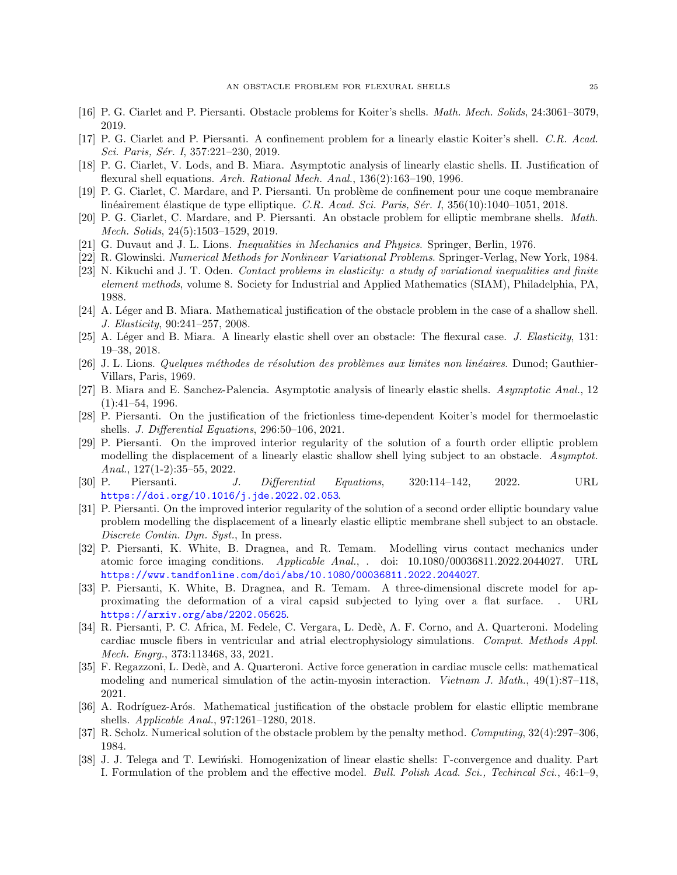- <span id="page-24-7"></span>[16] P. G. Ciarlet and P. Piersanti. Obstacle problems for Koiter's shells. Math. Mech. Solids, 24:3061–3079, 2019.
- <span id="page-24-8"></span>[17] P. G. Ciarlet and P. Piersanti. A confinement problem for a linearly elastic Koiter's shell. C.R. Acad. Sci. Paris, Sér. I, 357:221-230, 2019.
- <span id="page-24-3"></span>[18] P. G. Ciarlet, V. Lods, and B. Miara. Asymptotic analysis of linearly elastic shells. II. Justification of flexural shell equations. Arch. Rational Mech. Anal., 136(2):163-190, 1996.
- <span id="page-24-9"></span>[19] P. G. Ciarlet, C. Mardare, and P. Piersanti. Un probl`eme de confinement pour une coque membranaire linéairement élastique de type elliptique. C.R. Acad. Sci. Paris, Sér. I,  $356(10):1040-1051$ , 2018.
- <span id="page-24-10"></span>[20] P. G. Ciarlet, C. Mardare, and P. Piersanti. An obstacle problem for elliptic membrane shells. Math. Mech. Solids, 24(5):1503–1529, 2019.
- <span id="page-24-14"></span>[21] G. Duvaut and J. L. Lions. Inequalities in Mechanics and Physics. Springer, Berlin, 1976.
- <span id="page-24-15"></span>[22] R. Glowinski. Numerical Methods for Nonlinear Variational Problems. Springer-Verlag, New York, 1984.
- <span id="page-24-16"></span>[23] N. Kikuchi and J. T. Oden. Contact problems in elasticity: a study of variational inequalities and finite element methods, volume 8. Society for Industrial and Applied Mathematics (SIAM), Philadelphia, PA, 1988.
- <span id="page-24-12"></span>[24] A. Léger and B. Miara. Mathematical justification of the obstacle problem in the case of a shallow shell. J. Elasticity, 90:241–257, 2008.
- <span id="page-24-11"></span>[25] A. Léger and B. Miara. A linearly elastic shell over an obstacle: The flexural case. J. Elasticity, 131: 19–38, 2018.
- <span id="page-24-17"></span>[26] J. L. Lions. Quelques méthodes de résolution des problèmes aux limites non linéaires. Dunod; Gauthier-Villars, Paris, 1969.
- <span id="page-24-19"></span>[27] B. Miara and E. Sanchez-Palencia. Asymptotic analysis of linearly elastic shells. Asymptotic Anal., 12 (1):41–54, 1996.
- <span id="page-24-4"></span>[28] P. Piersanti. On the justification of the frictionless time-dependent Koiter's model for thermoelastic shells. J. Differential Equations, 296:50–106, 2021.
- <span id="page-24-22"></span>[29] P. Piersanti. On the improved interior regularity of the solution of a fourth order elliptic problem modelling the displacement of a linearly elastic shallow shell lying subject to an obstacle. Asymptot. Anal., 127(1-2):35–55, 2022.
- <span id="page-24-20"></span> $[30]$  P. Piersanti. J. Differential Equations,  $320:114-142$ ,  $2022$ . URL <https://doi.org/10.1016/j.jde.2022.02.053>.
- <span id="page-24-21"></span>[31] P. Piersanti. On the improved interior regularity of the solution of a second order elliptic boundary value problem modelling the displacement of a linearly elastic elliptic membrane shell subject to an obstacle. Discrete Contin. Dyn. Syst., In press.
- <span id="page-24-5"></span>[32] P. Piersanti, K. White, B. Dragnea, and R. Temam. Modelling virus contact mechanics under atomic force imaging conditions. Applicable Anal., . doi: 10.1080/00036811.2022.2044027. URL <https://www.tandfonline.com/doi/abs/10.1080/00036811.2022.2044027>.
- <span id="page-24-6"></span>[33] P. Piersanti, K. White, B. Dragnea, and R. Temam. A three-dimensional discrete model for approximating the deformation of a viral capsid subjected to lying over a flat surface. . URL <https://arxiv.org/abs/2202.05625>.
- <span id="page-24-0"></span>[34] R. Piersanti, P. C. Africa, M. Fedele, C. Vergara, L. Dedè, A. F. Corno, and A. Quarteroni. Modeling cardiac muscle fibers in ventricular and atrial electrophysiology simulations. Comput. Methods Appl. Mech. Engrg., 373:113468, 33, 2021.
- <span id="page-24-1"></span>[35] F. Regazzoni, L. Dedè, and A. Quarteroni. Active force generation in cardiac muscle cells: mathematical modeling and numerical simulation of the actin-myosin interaction. Vietnam J. Math., 49(1):87–118, 2021.
- <span id="page-24-13"></span>[36] A. Rodríguez-Arós. Mathematical justification of the obstacle problem for elastic elliptic membrane shells. Applicable Anal., 97:1261–1280, 2018.
- <span id="page-24-18"></span>[37] R. Scholz. Numerical solution of the obstacle problem by the penalty method. Computing, 32(4):297–306, 1984.
- <span id="page-24-2"></span>[38] J. J. Telega and T. Lewiński. Homogenization of linear elastic shells: Γ-convergence and duality. Part I. Formulation of the problem and the effective model. Bull. Polish Acad. Sci., Techincal Sci., 46:1–9,